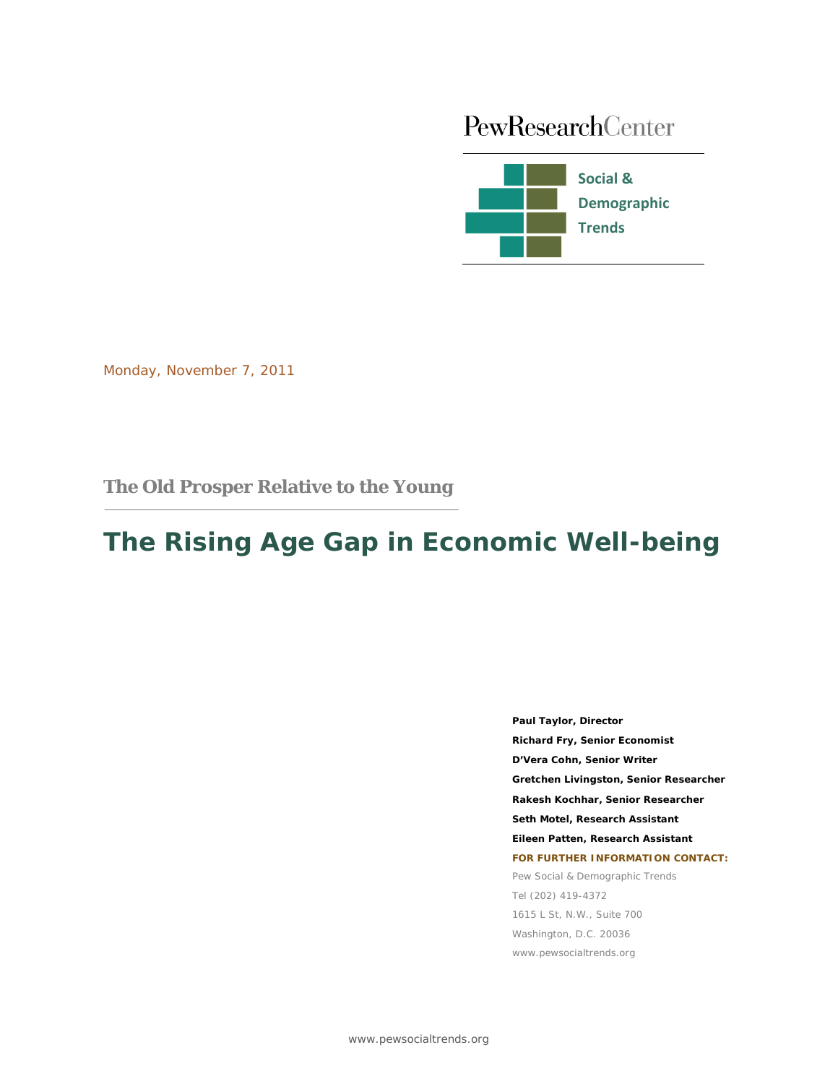# PewResearchCenter



Monday, November 7, 2011

# **The Old Prosper Relative to the Young**

# **The Rising Age Gap in Economic Well-being**

**Paul Taylor, Director Richard Fry, Senior Economist D'Vera Cohn, Senior Writer Gretchen Livingston, Senior Researcher Rakesh Kochhar, Senior Researcher Seth Motel, Research Assistant Eileen Patten, Research Assistant FOR FURTHER INFORMATION CONTACT:** Pew Social & Demographic Trends Tel (202) 419-4372 1615 L St, N.W., Suite 700 Washington, D.C. 20036 www.pewsocialtrends.org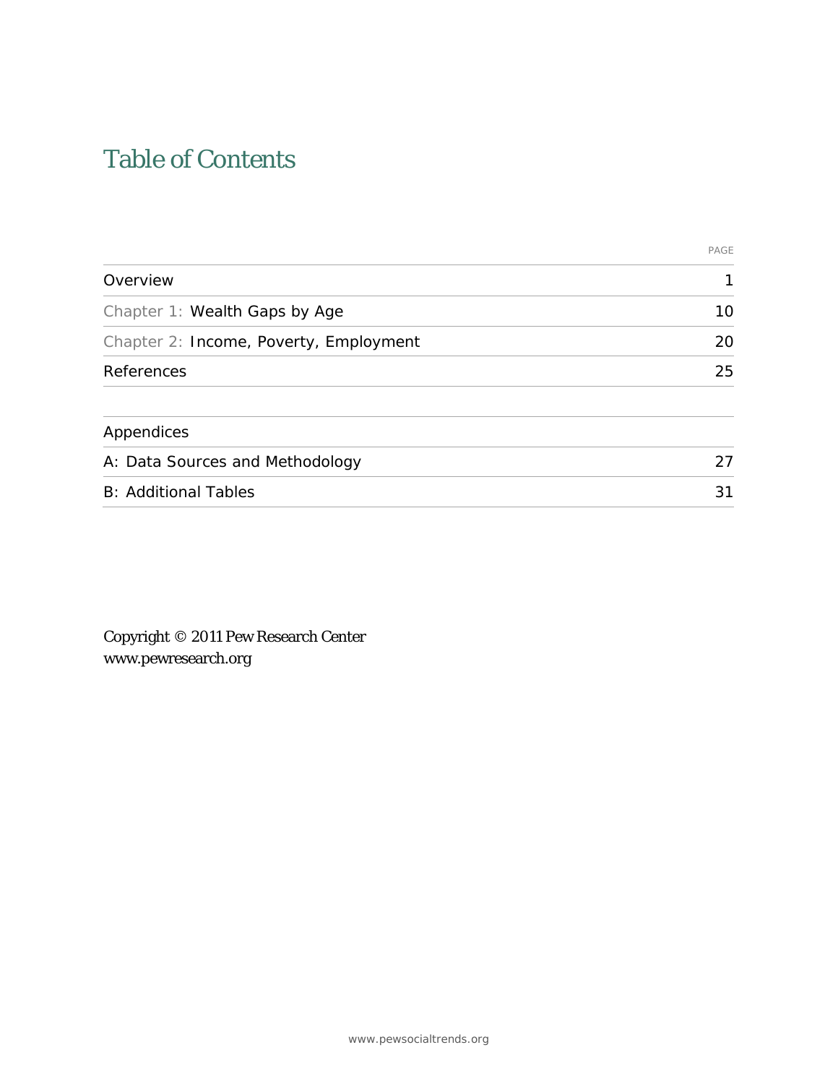# Table of Contents

|                                        | PAGE |
|----------------------------------------|------|
| Overview                               | 1    |
| Chapter 1: Wealth Gaps by Age          | 10   |
| Chapter 2: Income, Poverty, Employment | 20   |
| References                             | 25   |
| Appendices                             |      |
| A: Data Sources and Methodology        | 27   |
| <b>B: Additional Tables</b>            | 31   |

Copyright © 2011 Pew Research Center www.pewresearch.org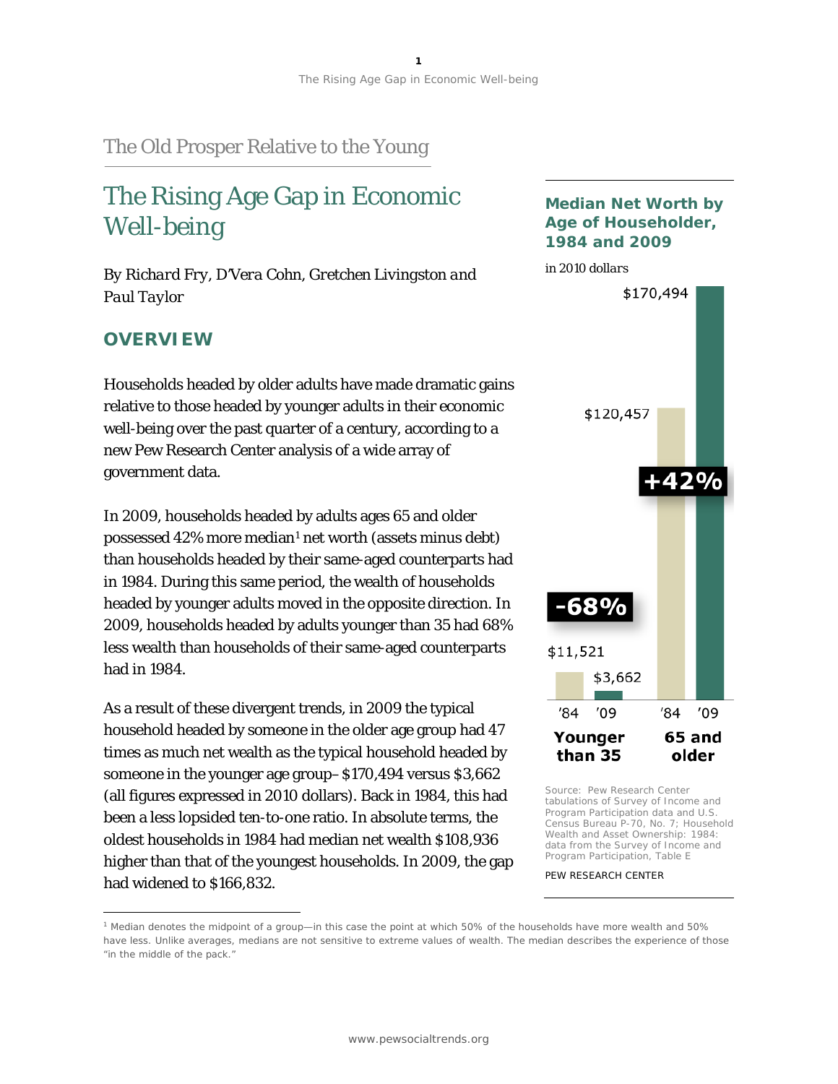# The Old Prosper Relative to the Young

# The Rising Age Gap in Economic Well-being

*By Richard Fry, D'Vera Cohn, Gretchen Livingston and Paul Taylor*

# **OVERVIEW**

 $\overline{a}$ 

Households headed by older adults have made dramatic gains relative to those headed by younger adults in their economic well-being over the past quarter of a century, according to a new Pew Research Center analysis of a wide array of government data.

In 2009, households headed by adults ages 65 and older possessed 42% more median[1](#page-2-0) net worth (assets minus debt) than households headed by their same-aged counterparts had in 1984. During this same period, the wealth of households headed by younger adults moved in the opposite direction. In 2009, households headed by adults younger than 35 had 68% less wealth than households of their same-aged counterparts had in 1984.

As a result of these divergent trends, in 2009 the typical household headed by someone in the older age group had 47 times as much net wealth as the typical household headed by someone in the younger age group–\$170,494 versus \$3,662 (all figures expressed in 2010 dollars). Back in 1984, this had been a less lopsided ten-to-one ratio. In absolute terms, the oldest households in 1984 had median net wealth \$108,936 higher than that of the youngest households. In 2009, the gap had widened to \$166,832.





Source: Pew Research Center tabulations of Survey of Income and Program Participation data and U.S. Census Bureau P-70, No. 7; *Household Wealth and Asset Ownership: 1984: data from the Survey of Income and Program Participation*, Table E

<span id="page-2-0"></span><sup>1</sup> Median denotes the midpoint of a group—in this case the point at which 50% of the households have more wealth and 50% have less. Unlike averages, medians are not sensitive to extreme values of wealth. The median describes the experience of those "in the middle of the pack."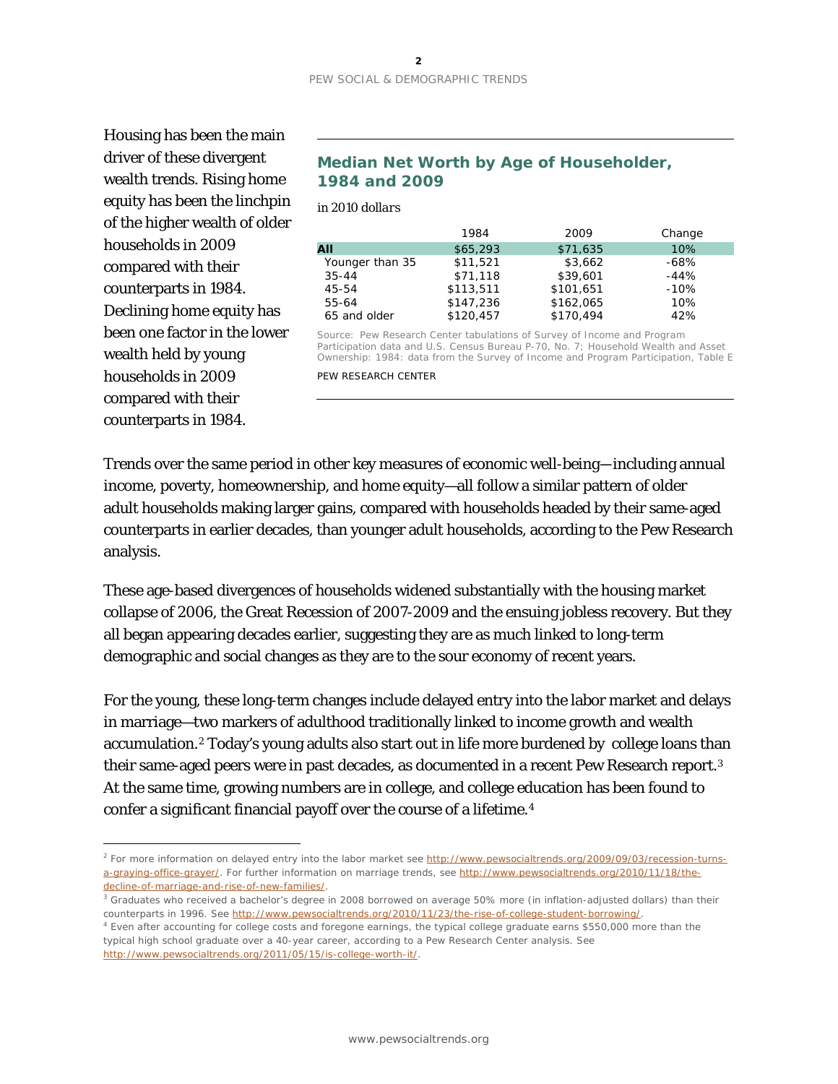Housing has been the main driver of these divergent wealth trends. Rising home equity has been the linchpin of the higher wealth of older households in 2009 compared with their counterparts in 1984. Declining home equity has been one factor in the lower wealth held by young households in 2009 compared with their counterparts in 1984.

 $\overline{a}$ 

### **Median Net Worth by Age of Householder, 1984 and 2009**

*in 2010 dollars*

|                 | 1984      | 2009      | Change |
|-----------------|-----------|-----------|--------|
| AII             | \$65,293  | \$71,635  | 10%    |
| Younger than 35 | \$11,521  | \$3,662   | $-68%$ |
| $35 - 44$       | \$71,118  | \$39,601  | $-44%$ |
| 45-54           | \$113,511 | \$101,651 | $-10%$ |
| 55-64           | \$147,236 | \$162,065 | 10%    |
| 65 and older    | \$120,457 | \$170.494 | 42%    |

Source: Pew Research Center tabulations of Survey of Income and Program Participation data and U.S. Census Bureau P-70, No. 7; *Household Wealth and Asset Ownership: 1984: data from the Survey of Income and Program Participation*, Table E PEW RESEARCH CENTER

Trends over the same period in other key measures of economic well-being—including annual income, poverty, homeownership, and home equity—all follow a similar pattern of older adult households making larger gains, compared with households headed by their same-aged counterparts in earlier decades, than younger adult households, according to the Pew Research analysis.

These age-based divergences of households widened substantially with the housing market collapse of 2006, the Great Recession of 2007-2009 and the ensuing jobless recovery. But they all began appearing decades earlier, suggesting they are as much linked to long-term demographic and social changes as they are to the sour economy of recent years.

For the young, these long-term changes include delayed entry into the labor market and delays in marriage—two markers of adulthood traditionally linked to income growth and wealth accumulation.[2](#page-3-0) Today's young adults also start out in life more burdened by college loans than their same-aged peers were in past decades, as documented in a recent Pew Research report[.3](#page-3-1) At the same time, growing numbers are in college, and college education has been found to confer a significant financial payoff over the course of a lifetime.<sup>[4](#page-3-2)</sup>

<span id="page-3-0"></span><sup>&</sup>lt;sup>2</sup> For more information on delayed entry into the labor market see [http://www.pewsocialtrends.org/2009/09/03/recession-turns](http://www.pewsocialtrends.org/2009/09/03/recession-turns-a-graying-office-grayer/)[a-graying-office-grayer/.](http://www.pewsocialtrends.org/2009/09/03/recession-turns-a-graying-office-grayer/) For further information on marriage trends, see [http://www.pewsocialtrends.org/2010/11/18/the](http://www.pewsocialtrends.org/2010/11/18/the-decline-of-marriage-and-rise-of-new-families/)[decline-of-marriage-and-rise-of-new-families/.](http://www.pewsocialtrends.org/2010/11/18/the-decline-of-marriage-and-rise-of-new-families/)

<span id="page-3-1"></span><sup>&</sup>lt;sup>3</sup> Graduates who received a bachelor's degree in 2008 borrowed on average 50% more (in inflation-adjusted dollars) than their counterparts in 1996. See [http://www.pewsocialtrends.org/2010/11/23/the-rise-of-college-student-borrowing/.](http://www.pewsocialtrends.org/2010/11/23/the-rise-of-college-student-borrowing/)

<span id="page-3-2"></span><sup>4</sup> Even after accounting for college costs and foregone earnings, the typical college graduate earns \$550,000 more than the typical high school graduate over a 40-year career, according to a Pew Research Center analysis. See [http://www.pewsocialtrends.org/2011/05/15/is-college-worth-it/.](http://www.pewsocialtrends.org/2011/05/15/is-college-worth-it/)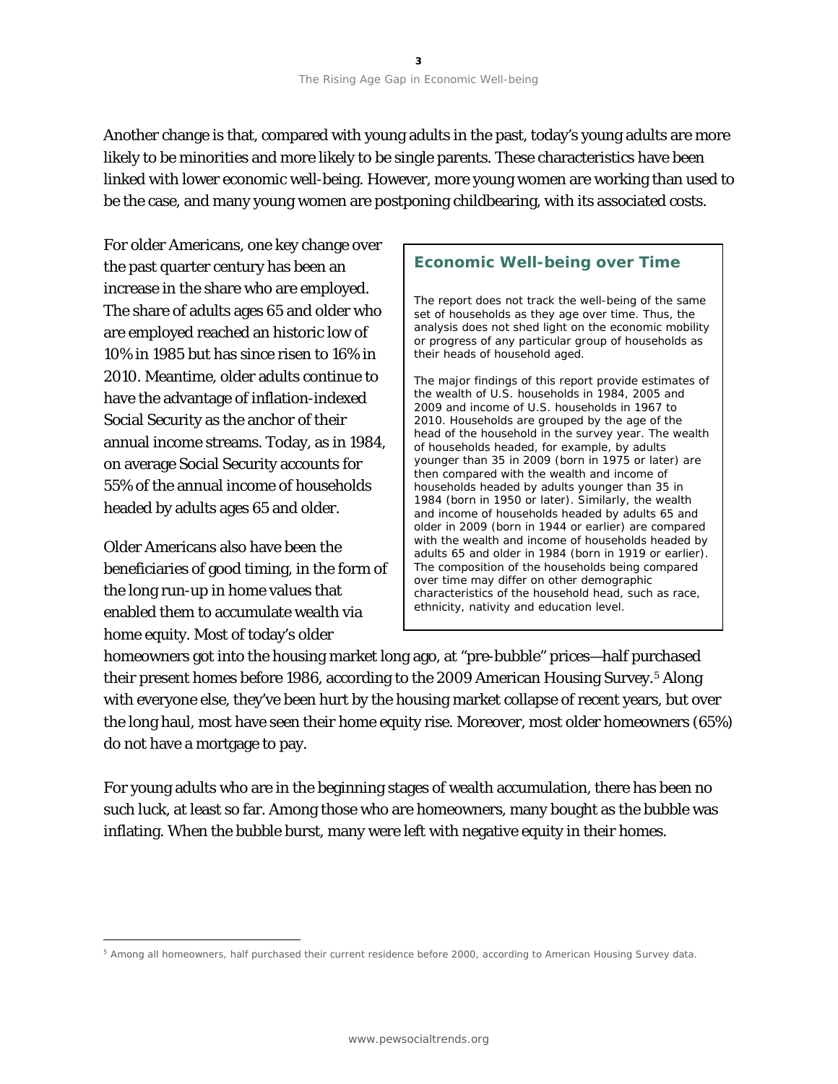Another change is that, compared with young adults in the past, today's young adults are more likely to be minorities and more likely to be single parents. These characteristics have been linked with lower economic well-being. However, more young women are working than used to be the case, and many young women are postponing childbearing, with its associated costs.

For older Americans, one key change over the past quarter century has been an increase in the share who are employed. The share of adults ages 65 and older who are employed reached an historic low of 10% in 1985 but has since risen to 16% in 2010. Meantime, older adults continue to have the advantage of inflation-indexed Social Security as the anchor of their annual income streams. Today, as in 1984, on average Social Security accounts for 55% of the annual income of households headed by adults ages 65 and older.

Older Americans also have been the beneficiaries of good timing, in the form of the long run-up in home values that enabled them to accumulate wealth via home equity. Most of today's older

 $\overline{a}$ 

## **Economic Well-being over Time**

The report does not track the well-being of the same set of households as they age over time. Thus, the analysis does not shed light on the economic mobility or progress of any particular group of households as their heads of household aged.

The major findings of this report provide estimates of the wealth of U.S. households in 1984, 2005 and 2009 and income of U.S. households in 1967 to 2010. Households are grouped by the age of the head of the household in the survey year. The wealth of households headed, for example, by adults younger than 35 in 2009 (born in 1975 or later) are then compared with the wealth and income of households headed by adults younger than 35 in 1984 (born in 1950 or later). Similarly, the wealth and income of households headed by adults 65 and older in 2009 (born in 1944 or earlier) are compared with the wealth and income of households headed by adults 65 and older in 1984 (born in 1919 or earlier). The composition of the households being compared over time may differ on other demographic characteristics of the household head, such as race, ethnicity, nativity and education level.

homeowners got into the housing market long ago, at "pre-bubble" prices—half purchased their present homes before 1986, according to the 2009 American Housing Survey.[5](#page-4-0) Along with everyone else, they've been hurt by the housing market collapse of recent years, but over the long haul, most have seen their home equity rise. Moreover, most older homeowners (65%) do not have a mortgage to pay.

For young adults who are in the beginning stages of wealth accumulation, there has been no such luck, at least so far. Among those who are homeowners, many bought as the bubble was inflating. When the bubble burst, many were left with negative equity in their homes.

<span id="page-4-0"></span><sup>5</sup> Among all homeowners, half purchased their current residence before 2000, according to American Housing Survey data.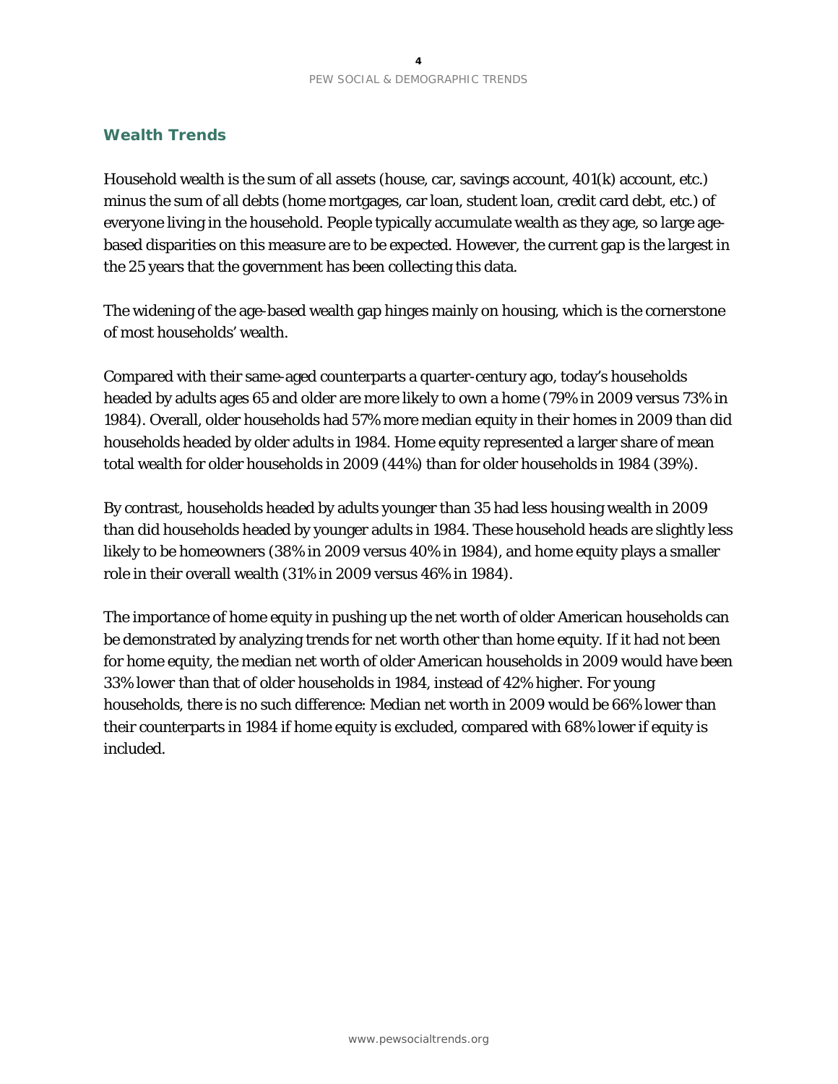# **Wealth Trends**

Household wealth is the sum of all assets (house, car, savings account, 401(k) account, etc.) minus the sum of all debts (home mortgages, car loan, student loan, credit card debt, etc.) of everyone living in the household. People typically accumulate wealth as they age, so large agebased disparities on this measure are to be expected. However, the current gap is the largest in the 25 years that the government has been collecting this data.

The widening of the age-based wealth gap hinges mainly on housing, which is the cornerstone of most households' wealth.

Compared with their same-aged counterparts a quarter-century ago, today's households headed by adults ages 65 and older are more likely to own a home (79% in 2009 versus 73% in 1984). Overall, older households had 57% more median equity in their homes in 2009 than did households headed by older adults in 1984. Home equity represented a larger share of mean total wealth for older households in 2009 (44%) than for older households in 1984 (39%).

By contrast, households headed by adults younger than 35 had less housing wealth in 2009 than did households headed by younger adults in 1984. These household heads are slightly less likely to be homeowners (38% in 2009 versus 40% in 1984), and home equity plays a smaller role in their overall wealth (31% in 2009 versus 46% in 1984).

The importance of home equity in pushing up the net worth of older American households can be demonstrated by analyzing trends for net worth other than home equity. If it had not been for home equity, the median net worth of older American households in 2009 would have been 33% *lower* than that of older households in 1984, instead of 42% higher. For young households, there is no such difference: Median net worth in 2009 would be 66% lower than their counterparts in 1984 if home equity is excluded, compared with 68% lower if equity is included.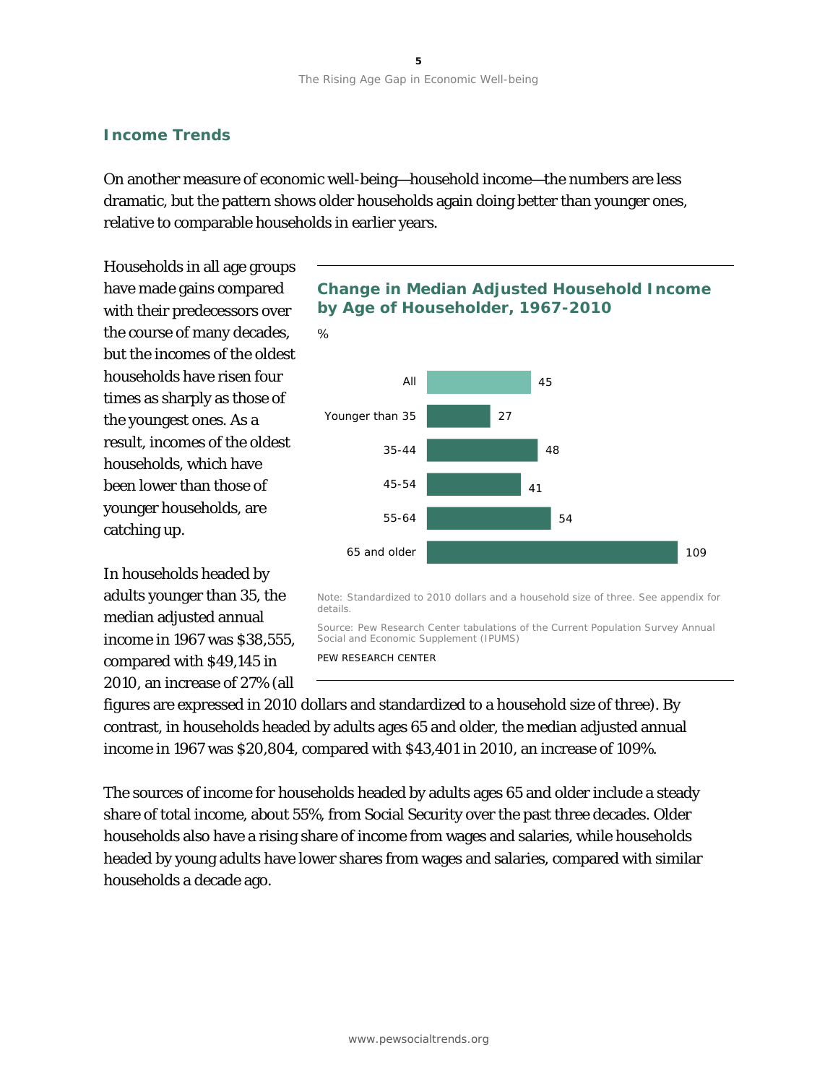# **Income Trends**

On another measure of economic well-being—household income—the numbers are less dramatic, but the pattern shows older households again doing better than younger ones, relative to comparable households in earlier years.

*%*

Households in all age groups have made gains compared with their predecessors over the course of many decades, but the incomes of the oldest households have risen four times as sharply as those of the youngest ones. As a result, incomes of the oldest households, which have been lower than those of younger households, are catching up.

In households headed by adults younger than 35, the median adjusted annual income in 1967 was \$38,555, compared with \$49,145 in 2010, an increase of 27% (all

# **Change in Median Adjusted Household Income by Age of Householder, 1967-2010**



Source: Pew Research Center tabulations of the Current Population Survey Annual Social and Economic Supplement (IPUMS) PEW RESEARCH CENTER

figures are expressed in 2010 dollars and standardized to a household size of three). By contrast, in households headed by adults ages 65 and older, the median adjusted annual income in 1967 was \$20,804, compared with \$43,401 in 2010, an increase of 109%.

The sources of income for households headed by adults ages 65 and older include a steady share of total income, about 55%, from Social Security over the past three decades. Older households also have a rising share of income from wages and salaries, while households headed by young adults have lower shares from wages and salaries, compared with similar households a decade ago.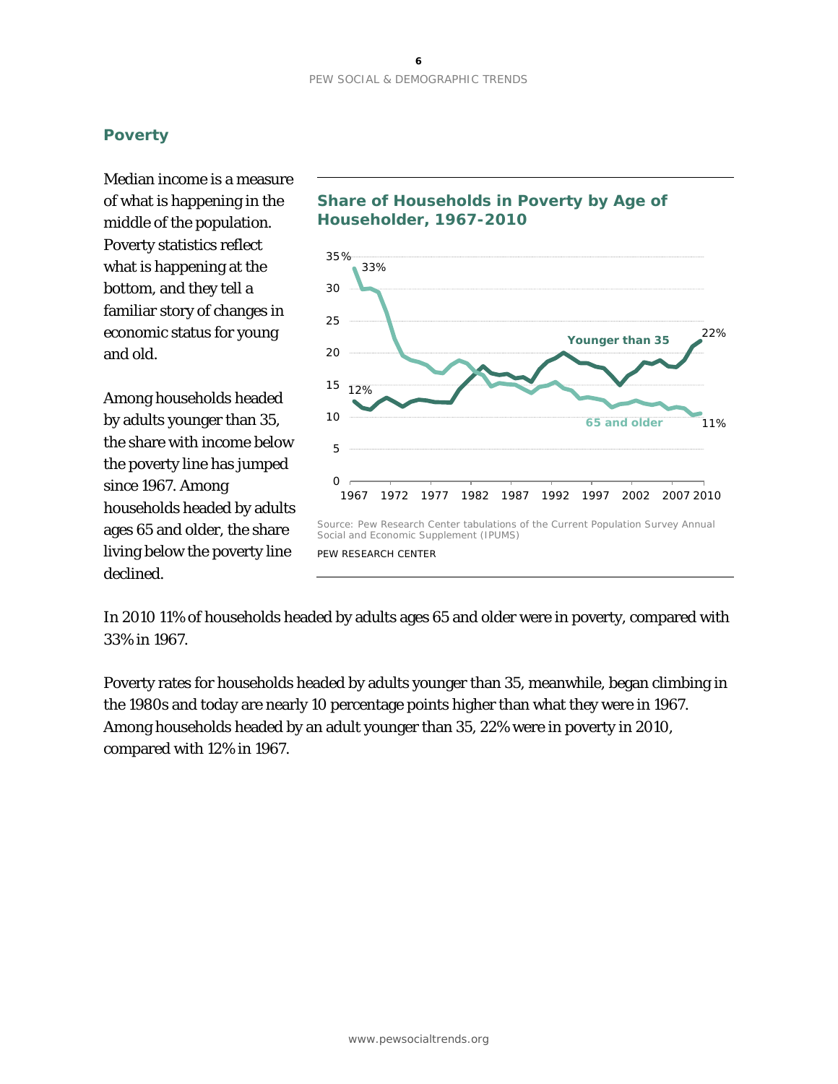# **Poverty**

Median income is a measure of what is happening in the middle of the population. Poverty statistics reflect what is happening at the bottom, and they tell a familiar story of changes in economic status for young and old.

Among households headed by adults younger than 35, the share with income below the poverty line has jumped since 1967. Among households headed by adults ages 65 and older, the share living below the poverty line declined.

# **Share of Households in Poverty by Age of Householder, 1967-2010**



In 2010 11% of households headed by adults ages 65 and older were in poverty, compared with 33% in 1967.

Poverty rates for households headed by adults younger than 35, meanwhile, began climbing in the 1980s and today are nearly 10 percentage points higher than what they were in 1967. Among households headed by an adult younger than 35, 22% were in poverty in 2010, compared with 12% in 1967.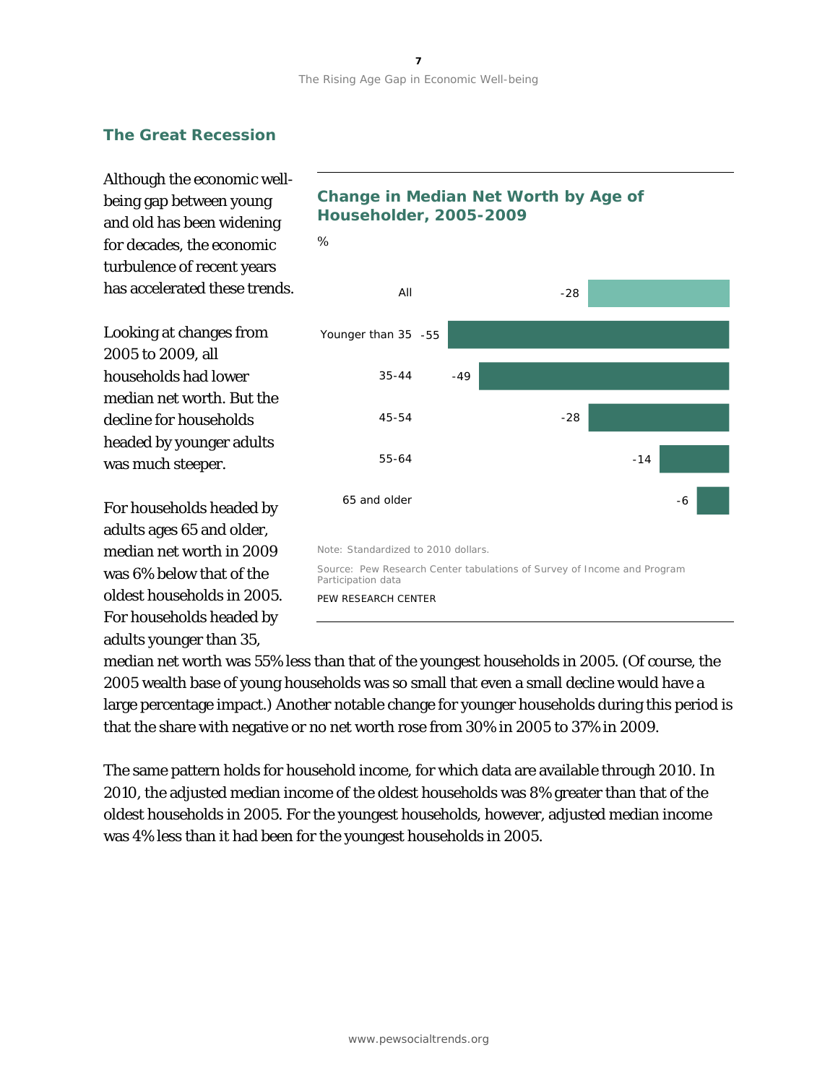# **The Great Recession**

Although the economic wellbeing gap between young and old has been widening for decades, the economic turbulence of recent years has accelerated these trends.

Looking at changes from 2005 to 2009, all households had lower median net worth. But the decline for households headed by younger adults was much steeper.

For households headed by adults ages 65 and older, median net worth in 2009 was 6% below that of the oldest households in 2005. For households headed by adults younger than 35,

# **Change in Median Net Worth by Age of Householder, 2005-2009**



median net worth was 55% less than that of the youngest households in 2005. (Of course, the 2005 wealth base of young households was so small that even a small decline would have a large percentage impact.) Another notable change for younger households during this period is that the share with negative or no net worth rose from 30% in 2005 to 37% in 2009.

The same pattern holds for household income, for which data are available through 2010. In 2010, the adjusted median income of the oldest households was 8% greater than that of the oldest households in 2005. For the youngest households, however, adjusted median income was 4% less than it had been for the youngest households in 2005.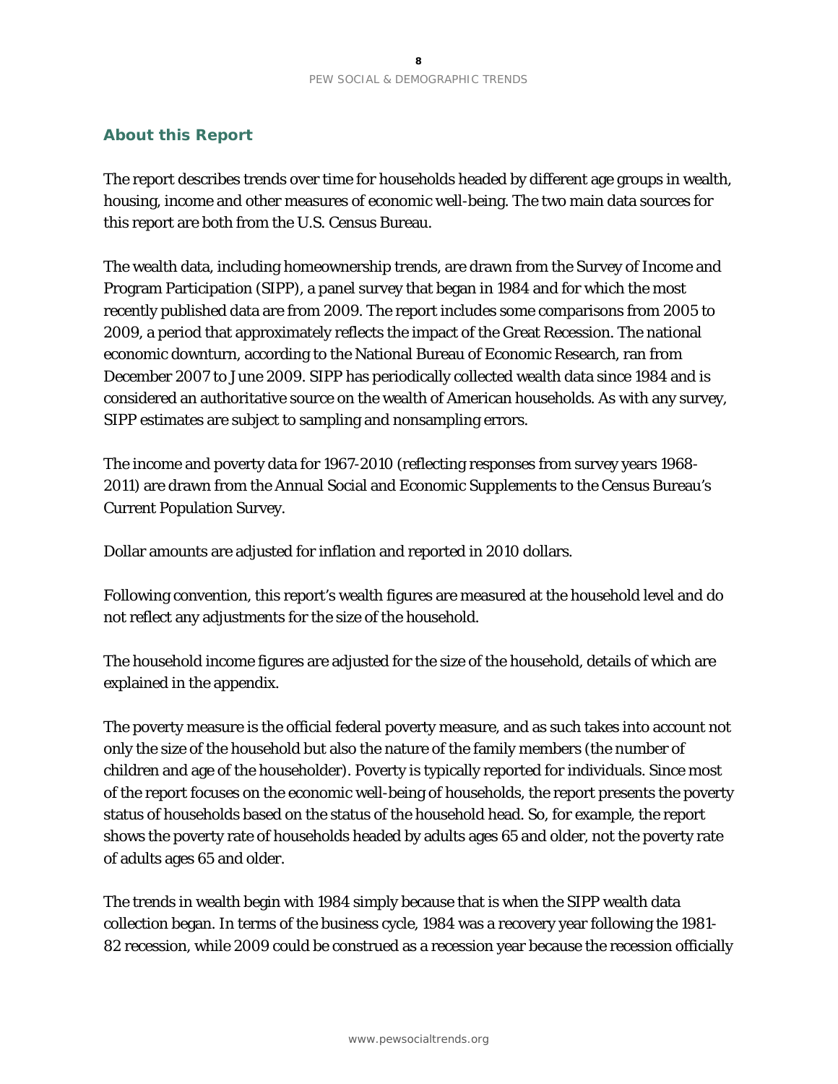## **About this Report**

The report describes trends over time for households headed by different age groups in wealth, housing, income and other measures of economic well-being. The two main data sources for this report are both from the U.S. Census Bureau.

The wealth data, including homeownership trends, are drawn from the Survey of Income and Program Participation (SIPP), a panel survey that began in 1984 and for which the most recently published data are from 2009. The report includes some comparisons from 2005 to 2009, a period that approximately reflects the impact of the Great Recession. The national economic downturn, according to the National Bureau of Economic Research, ran from December 2007 to June 2009. SIPP has periodically collected wealth data since 1984 and is considered an authoritative source on the wealth of American households. As with any survey, SIPP estimates are subject to sampling and nonsampling errors.

The income and poverty data for 1967-2010 (reflecting responses from survey years 1968- 2011) are drawn from the Annual Social and Economic Supplements to the Census Bureau's Current Population Survey.

Dollar amounts are adjusted for inflation and reported in 2010 dollars.

Following convention, this report's wealth figures are measured at the household level and do not reflect any adjustments for the size of the household.

The household income figures are adjusted for the size of the household, details of which are explained in the appendix.

The poverty measure is the official federal poverty measure, and as such takes into account not only the size of the household but also the nature of the family members (the number of children and age of the householder). Poverty is typically reported for individuals. Since most of the report focuses on the economic well-being of households, the report presents the poverty status of households based on the status of the household head. So, for example, the report shows the poverty rate of households headed by adults ages 65 and older, not the poverty rate of adults ages 65 and older.

The trends in wealth begin with 1984 simply because that is when the SIPP wealth data collection began. In terms of the business cycle, 1984 was a recovery year following the 1981- 82 recession, while 2009 could be construed as a recession year because the recession officially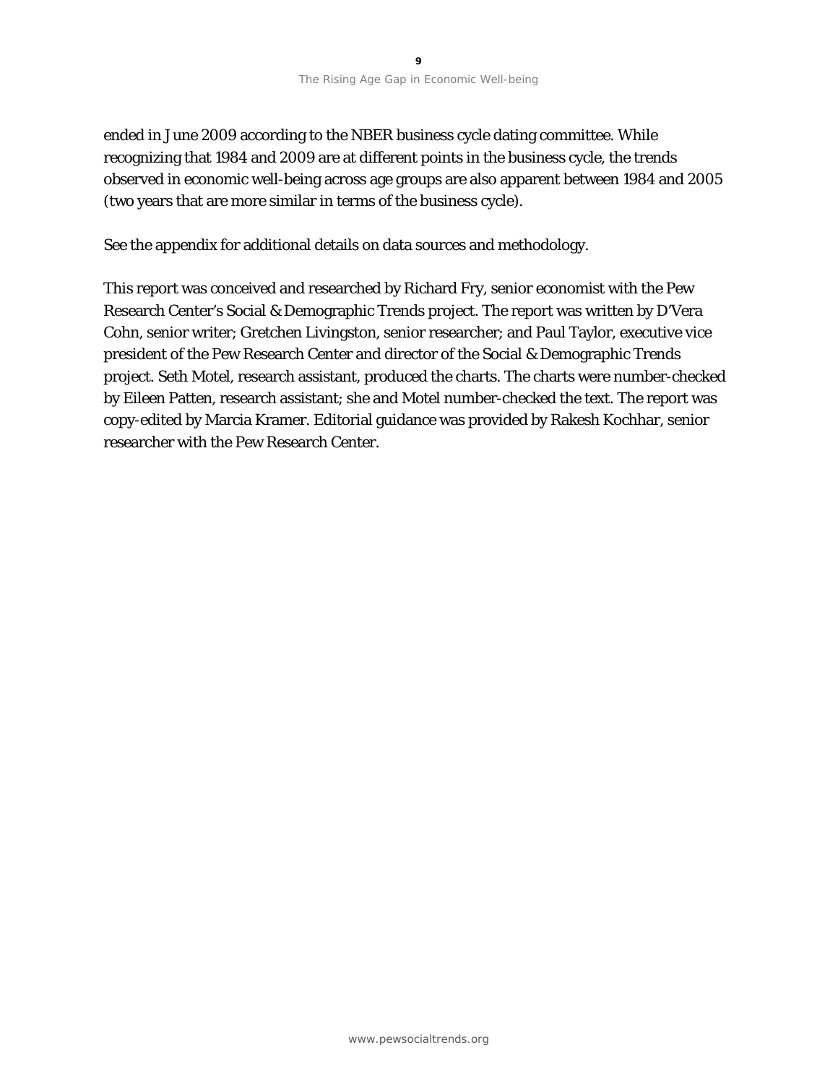ended in June 2009 according to the NBER business cycle dating committee. While recognizing that 1984 and 2009 are at different points in the business cycle, the trends observed in economic well-being across age groups are also apparent between 1984 and 2005 (two years that are more similar in terms of the business cycle).

See the appendix for additional details on data sources and methodology.

This report was conceived and researched by Richard Fry, senior economist with the Pew Research Center's Social & Demographic Trends project. The report was written by D'Vera Cohn, senior writer; Gretchen Livingston, senior researcher; and Paul Taylor, executive vice president of the Pew Research Center and director of the Social & Demographic Trends project. Seth Motel, research assistant, produced the charts. The charts were number-checked by Eileen Patten, research assistant; she and Motel number-checked the text. The report was copy-edited by Marcia Kramer. Editorial guidance was provided by Rakesh Kochhar, senior researcher with the Pew Research Center.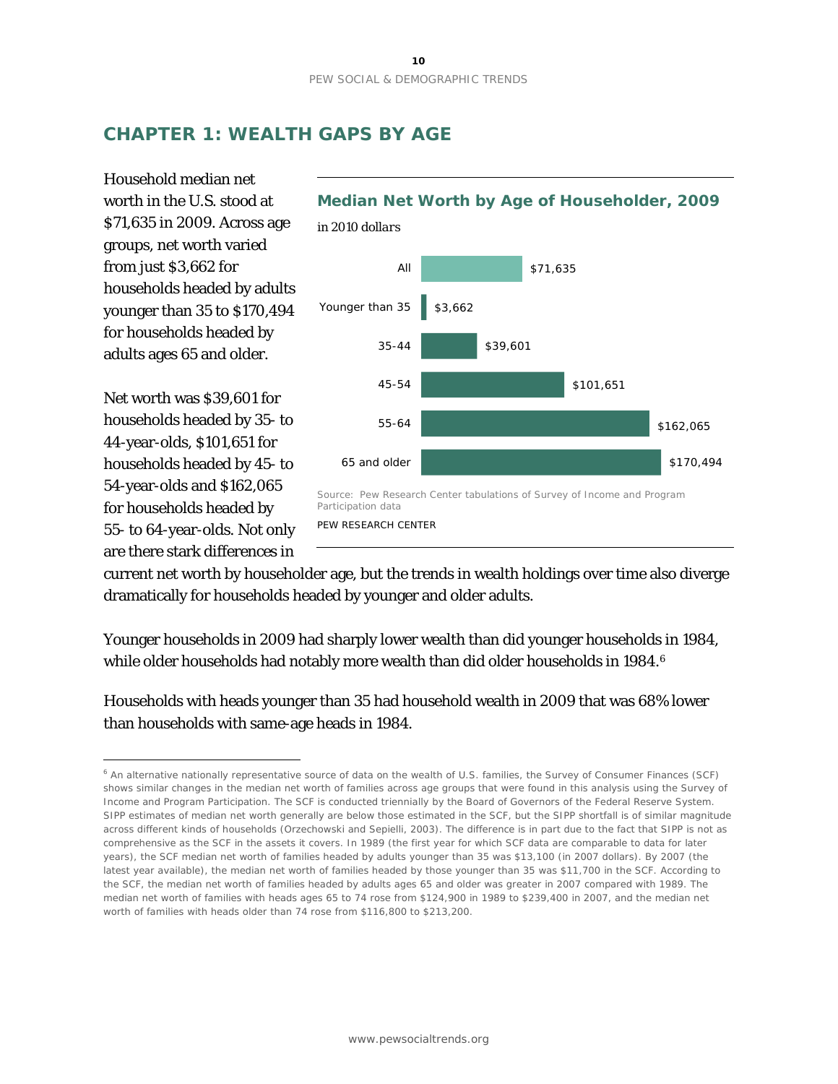# **CHAPTER 1: WEALTH GAPS BY AGE**

Household median net worth in the U.S. stood at \$71,635 in 2009. Across age groups, net worth varied from just \$3,662 for households headed by adults younger than 35 to \$170,494 for households headed by adults ages 65 and older.

Net worth was \$39,601 for households headed by 35- to 44-year-olds, \$101,651 for households headed by 45- to 54-year-olds and \$162,065 for households headed by 55- to 64-year-olds. Not only are there stark differences in

 $\overline{a}$ 



current net worth by householder age, but the trends in wealth holdings over time also diverge dramatically for households headed by younger and older adults.

Younger households in 2009 had sharply lower wealth than did younger households in 1984, while older households had notably more wealth than did older households in 1984.<sup>[6](#page-11-0)</sup>

Households with heads younger than 35 had household wealth in 2009 that was 68% lower than households with same-age heads in 1984.

<span id="page-11-0"></span><sup>6</sup> An alternative nationally representative source of data on the wealth of U.S. families, the Survey of Consumer Finances (SCF) shows similar changes in the median net worth of families across age groups that were found in this analysis using the Survey of Income and Program Participation. The SCF is conducted triennially by the Board of Governors of the Federal Reserve System. SIPP estimates of median net worth generally are below those estimated in the SCF, but the SIPP shortfall is of similar magnitude across different kinds of households (Orzechowski and Sepielli, 2003). The difference is in part due to the fact that SIPP is not as comprehensive as the SCF in the assets it covers. In 1989 (the first year for which SCF data are comparable to data for later years), the SCF median net worth of families headed by adults younger than 35 was \$13,100 (in 2007 dollars). By 2007 (the latest year available), the median net worth of families headed by those younger than 35 was \$11,700 in the SCF. According to the SCF, the median net worth of families headed by adults ages 65 and older was greater in 2007 compared with 1989. The median net worth of families with heads ages 65 to 74 rose from \$124,900 in 1989 to \$239,400 in 2007, and the median net worth of families with heads older than 74 rose from \$116,800 to \$213,200.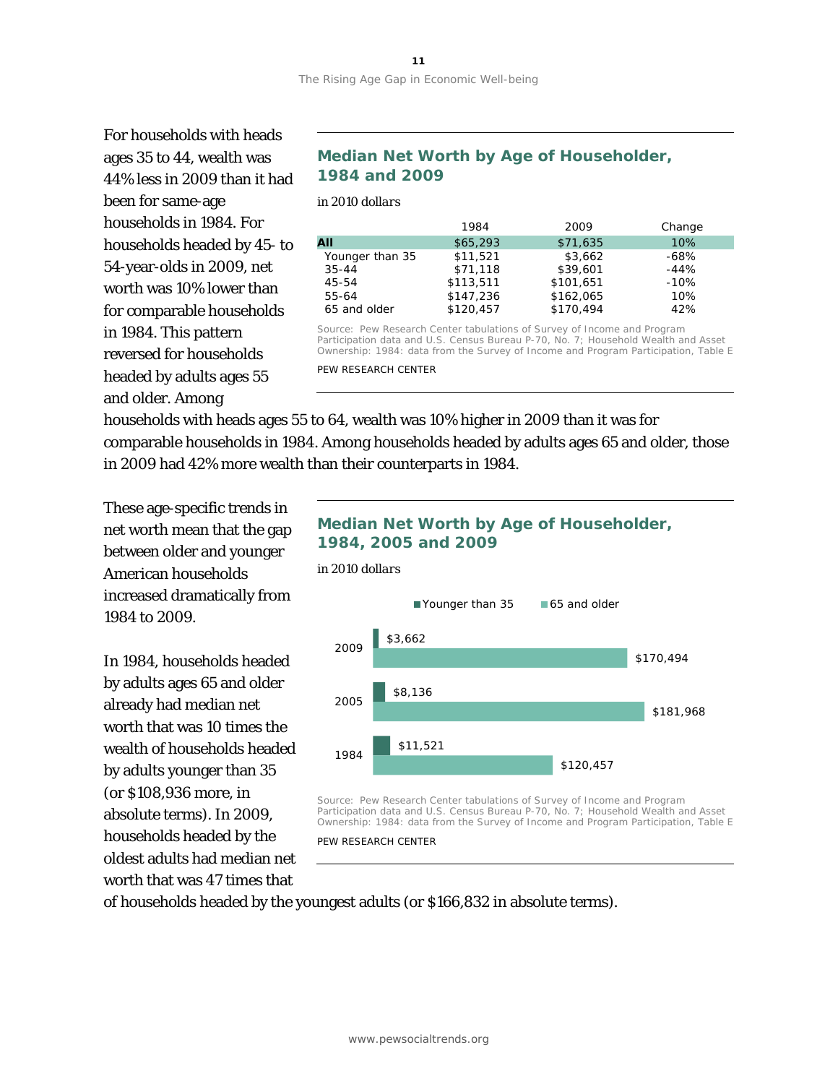For households with heads ages 35 to 44, wealth was 44% less in 2009 than it had been for same-age households in 1984. For households headed by 45- to 54-year-olds in 2009, net worth was 10% lower than for comparable households in 1984. This pattern reversed for households headed by adults ages 55 and older. Among

# **Median Net Worth by Age of Householder, 1984 and 2009**

*in 2010 dollars*

|                 | 1984      | 2009      | Change |
|-----------------|-----------|-----------|--------|
| All             | \$65,293  | \$71,635  | 10%    |
| Younger than 35 | \$11,521  | \$3,662   | -68%   |
| $35 - 44$       | \$71,118  | \$39,601  | $-44%$ |
| 45-54           | \$113,511 | \$101,651 | $-10%$ |
| 55-64           | \$147,236 | \$162,065 | 10%    |
| 65 and older    | \$120,457 | \$170.494 | 42%    |

Source: Pew Research Center tabulations of Survey of Income and Program Participation data and U.S. Census Bureau P-70, No. 7; *Household Wealth and Asset Ownership: 1984: data from the Survey of Income and Program Participation*, Table E

PEW RESEARCH CENTER

households with heads ages 55 to 64, wealth was 10% higher in 2009 than it was for comparable households in 1984. Among households headed by adults ages 65 and older, those in 2009 had 42% more wealth than their counterparts in 1984.

These age-specific trends in net worth mean that the gap between older and younger American households increased dramatically from 1984 to 2009.

In 1984, households headed by adults ages 65 and older already had median net worth that was 10 times the wealth of households headed by adults younger than 35 (or \$108,936 more, in absolute terms). In 2009, households headed by the oldest adults had median net worth that was 47 times that

# **Median Net Worth by Age of Householder, 1984, 2005 and 2009**





Source: Pew Research Center tabulations of Survey of Income and Program Participation data and U.S. Census Bureau P-70, No. 7; *Household Wealth and Asset Ownership: 1984: data from the Survey of Income and Program Participation*, Table E

PEW RESEARCH CENTER

of households headed by the youngest adults (or \$166,832 in absolute terms).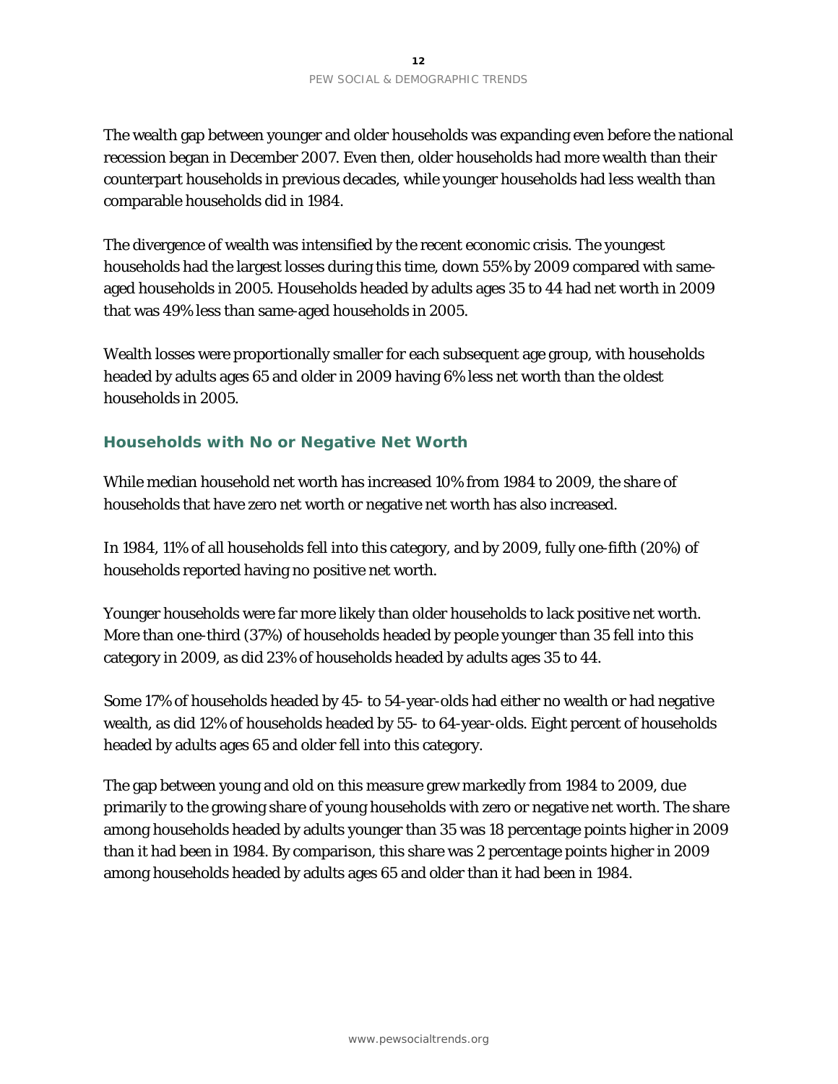The wealth gap between younger and older households was expanding even before the national recession began in December 2007. Even then, older households had more wealth than their counterpart households in previous decades, while younger households had less wealth than comparable households did in 1984.

The divergence of wealth was intensified by the recent economic crisis. The youngest households had the largest losses during this time, down 55% by 2009 compared with sameaged households in 2005. Households headed by adults ages 35 to 44 had net worth in 2009 that was 49% less than same-aged households in 2005.

Wealth losses were proportionally smaller for each subsequent age group, with households headed by adults ages 65 and older in 2009 having 6% less net worth than the oldest households in 2005.

### **Households with No or Negative Net Worth**

While median household net worth has increased 10% from 1984 to 2009, the share of households that have zero net worth or negative net worth has also increased.

In 1984, 11% of all households fell into this category, and by 2009, fully one-fifth (20%) of households reported having no positive net worth.

Younger households were far more likely than older households to lack positive net worth. More than one-third (37%) of households headed by people younger than 35 fell into this category in 2009, as did 23% of households headed by adults ages 35 to 44.

Some 17% of households headed by 45- to 54-year-olds had either no wealth or had negative wealth, as did 12% of households headed by 55- to 64-year-olds. Eight percent of households headed by adults ages 65 and older fell into this category.

The gap between young and old on this measure grew markedly from 1984 to 2009, due primarily to the growing share of young households with zero or negative net worth. The share among households headed by adults younger than 35 was 18 percentage points higher in 2009 than it had been in 1984. By comparison, this share was 2 percentage points higher in 2009 among households headed by adults ages 65 and older than it had been in 1984.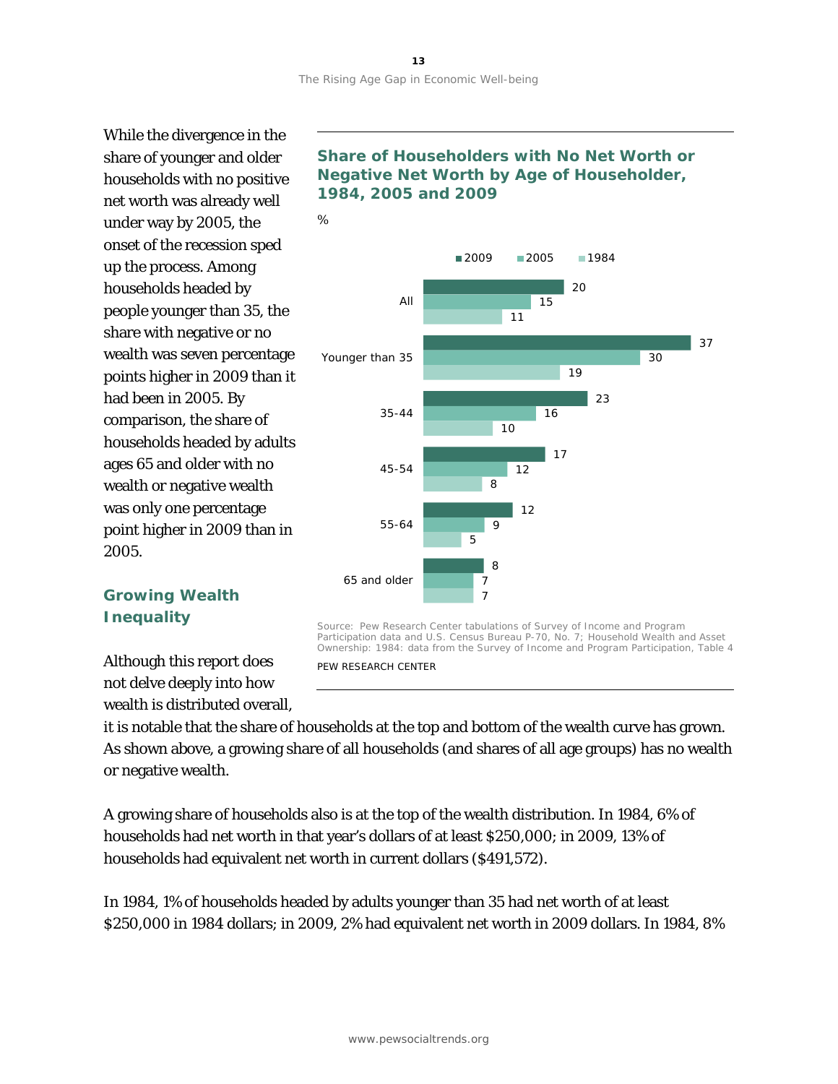While the divergence in the share of younger and older households with no positive net worth was already well under way by 2005, the onset of the recession sped up the process. Among households headed by people younger than 35, the share with negative or no wealth was seven percentage points higher in 2009 than it had been in 2005. By comparison, the share of households headed by adults ages 65 and older with no wealth or negative wealth was only one percentage point higher in 2009 than in 2005.

# **Share of Householders with No Net Worth or Negative Net Worth by Age of Householder, 1984, 2005 and 2009**



# **Growing Wealth Inequality**

Although this report does not delve deeply into how wealth is distributed overall,

Participation data and U.S. Census Bureau P-70, No. 7; *Household Wealth and Asset Ownership: 1984: data from the Survey of Income and Program Participation*, Table 4 PEW RESEARCH CENTER

it is notable that the share of households at the top and bottom of the wealth curve has grown. As shown above, a growing share of all households (and shares of all age groups) has no wealth or negative wealth.

A growing share of households also is at the top of the wealth distribution. In 1984, 6% of households had net worth in that year's dollars of at least \$250,000; in 2009, 13% of households had equivalent net worth in current dollars (\$491,572).

In 1984, 1% of households headed by adults younger than 35 had net worth of at least \$250,000 in 1984 dollars; in 2009, 2% had equivalent net worth in 2009 dollars. In 1984, 8%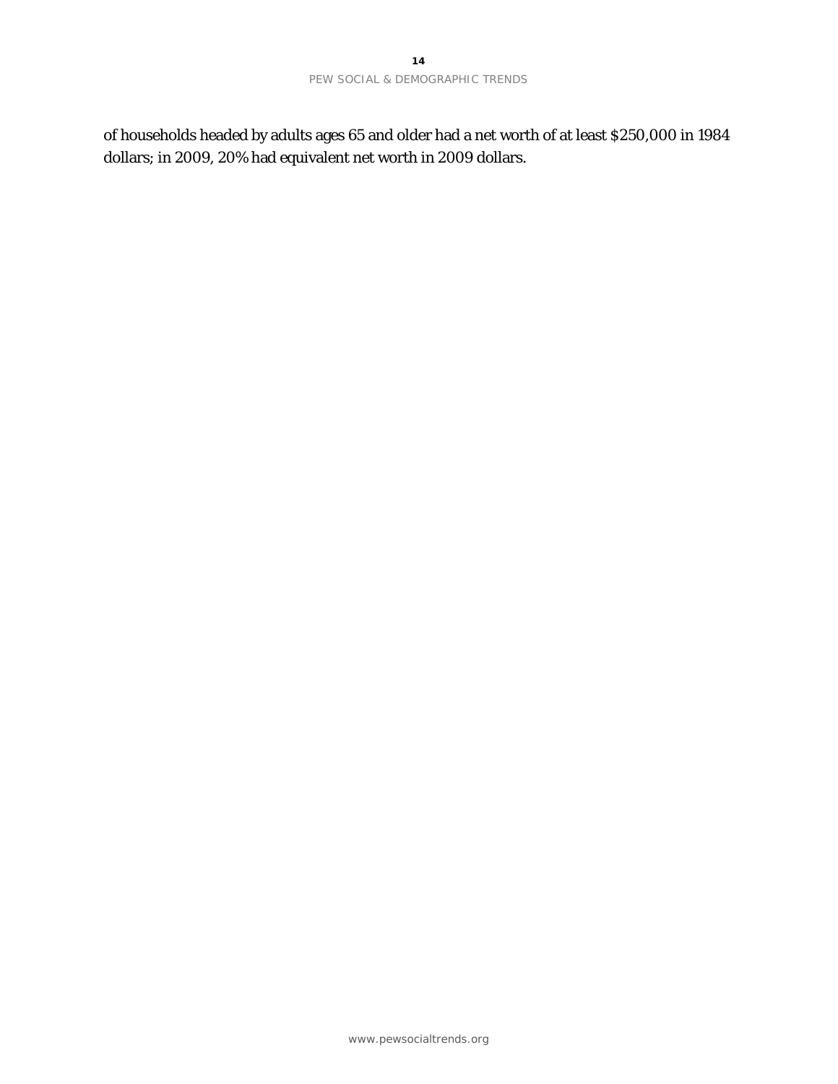of households headed by adults ages 65 and older had a net worth of at least \$250,000 in 1984 dollars; in 2009, 20% had equivalent net worth in 2009 dollars.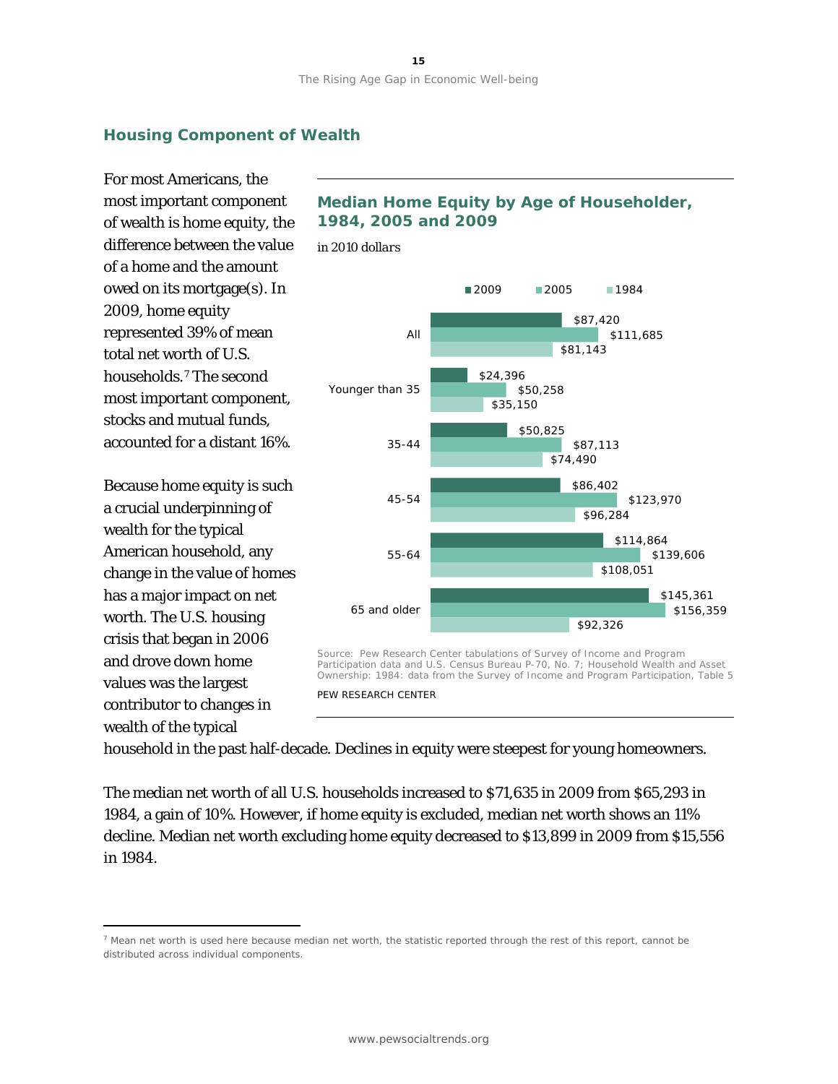# **Housing Component of Wealth**

For most Americans, the most important component of wealth is home equity, the difference between the value of a home and the amount owed on its mortgage(s). In 2009, home equity represented 39% of mean total net worth of U.S. households.[7](#page-16-0) The second most important component, stocks and mutual funds, accounted for a distant 16%.

Because home equity is such a crucial underpinning of wealth for the typical American household, any change in the value of homes has a major impact on net worth. The U.S. housing crisis that began in 2006 and drove down home values was the largest contributor to changes in wealth of the typical

 $\overline{a}$ 



*in 2010 dollars*



PEW RESEARCH CENTER

household in the past half-decade. Declines in equity were steepest for young homeowners.

The median net worth of all U.S. households increased to \$71,635 in 2009 from \$65,293 in 1984, a gain of 10%. However, if home equity is excluded, median net worth shows an 11% decline. Median net worth excluding home equity decreased to \$13,899 in 2009 from \$15,556 in 1984.

<span id="page-16-0"></span> $<sup>7</sup>$  Mean net worth is used here because median net worth, the statistic reported through the rest of this report, cannot be</sup> distributed across individual components.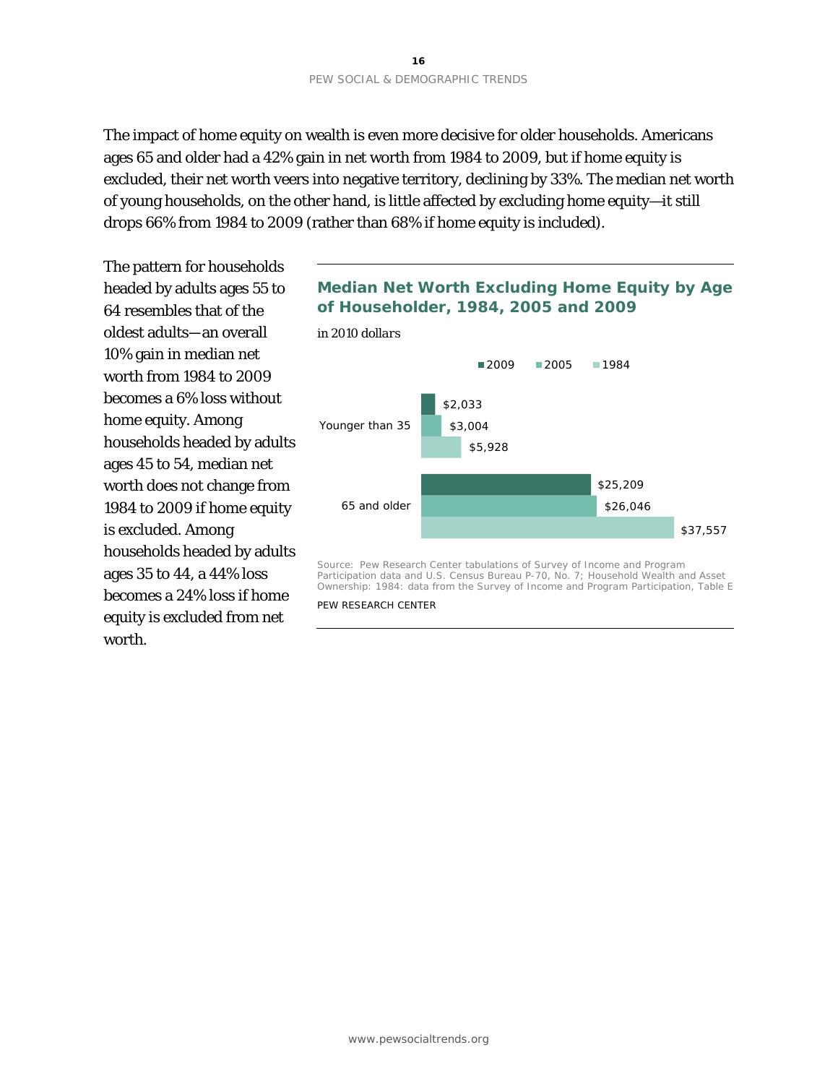The impact of home equity on wealth is even more decisive for older households. Americans ages 65 and older had a 42% gain in net worth from 1984 to 2009, but if home equity is excluded, their net worth veers into negative territory, declining by 33%. The median net worth of young households, on the other hand, is little affected by excluding home equity—it still drops 66% from 1984 to 2009 (rather than 68% if home equity is included).

The pattern for households headed by adults ages 55 to 64 resembles that of the oldest adults—an overall 10% gain in median net worth from 1984 to 2009 becomes a 6% loss without home equity. Among households headed by adults ages 45 to 54, median net worth does not change from 1984 to 2009 if home equity is excluded. Among households headed by adults ages 35 to 44, a 44% loss becomes a 24% loss if home equity is excluded from net worth.

# **Median Net Worth Excluding Home Equity by Age of Householder, 1984, 2005 and 2009**



Source: Pew Research Center tabulations of Survey of Income and Program Participation data and U.S. Census Bureau P-70, No. 7; *Household Wealth and Asset Ownership: 1984: data from the Survey of Income and Program Participation*, Table E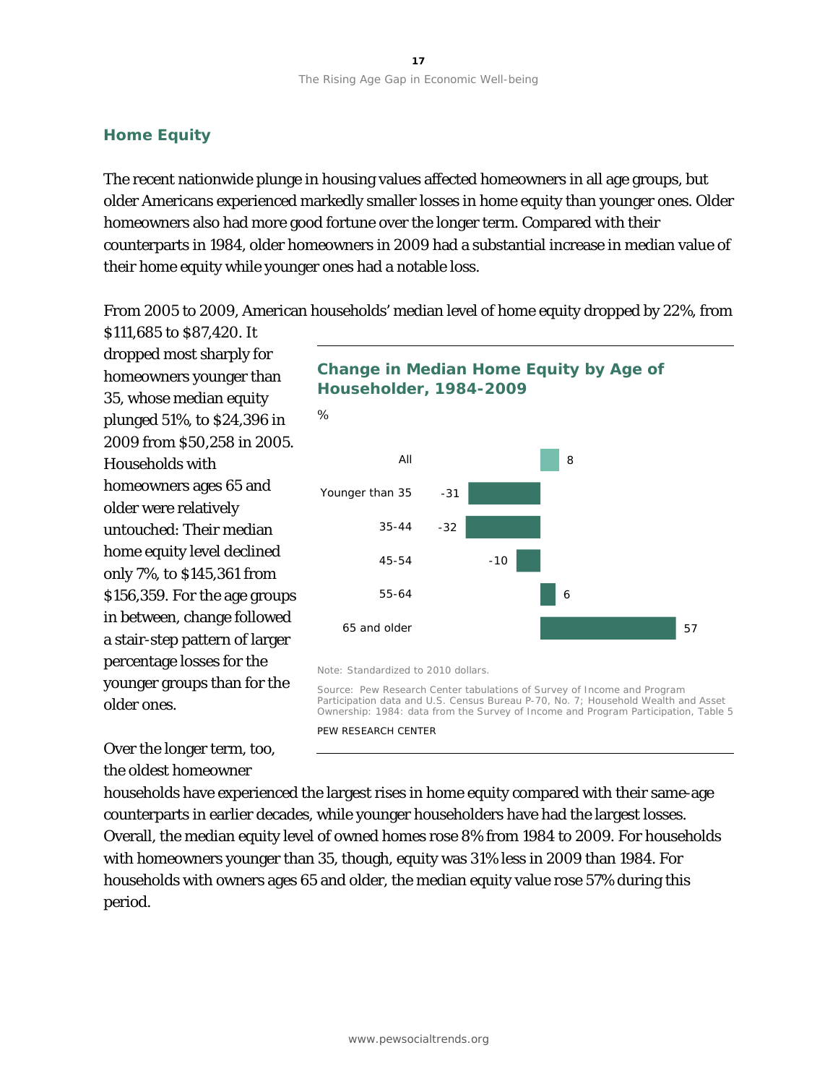### **Home Equity**

The recent nationwide plunge in housing values affected homeowners in all age groups, but older Americans experienced markedly smaller losses in home equity than younger ones. Older homeowners also had more good fortune over the longer term. Compared with their counterparts in 1984, older homeowners in 2009 had a substantial increase in median value of their home equity while younger ones had a notable loss.

From 2005 to 2009, American households' median level of home equity dropped by 22%, from

\$111,685 to \$87,420. It dropped most sharply for homeowners younger than 35, whose median equity plunged 51%, to \$24,396 in 2009 from \$50,258 in 2005. Households with homeowners ages 65 and older were relatively untouched: Their median home equity level declined only 7%, to \$145,361 from \$156,359. For the age groups in between, change followed a stair-step pattern of larger percentage losses for the younger groups than for the older ones.

Over the longer term, too, the oldest homeowner

**Change in Median Home Equity by Age of Householder, 1984-2009**



Note: Standardized to 2010 dollars.

Source: Pew Research Center tabulations of Survey of Income and Program Participation data and U.S. Census Bureau P-70, No. 7; *Household Wealth and Asset Ownership: 1984: data from the Survey of Income and Program Participation*, Table 5

PEW RESEARCH CENTER

households have experienced the largest rises in home equity compared with their same-age counterparts in earlier decades, while younger householders have had the largest losses. Overall, the median equity level of owned homes rose 8% from 1984 to 2009. For households with homeowners younger than 35, though, equity was 31% less in 2009 than 1984. For households with owners ages 65 and older, the median equity value rose 57% during this period.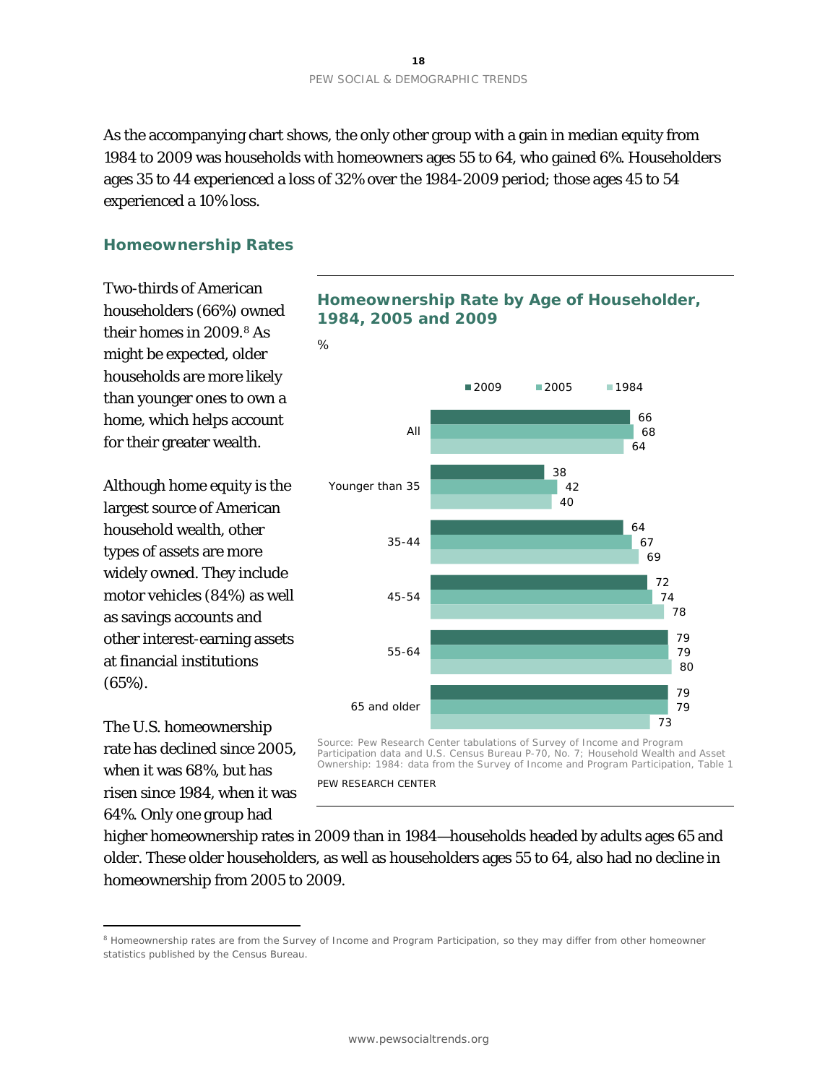As the accompanying chart shows, the only other group with a gain in median equity from 1984 to 2009 was households with homeowners ages 55 to 64, who gained 6%. Householders ages 35 to 44 experienced a loss of 32% over the 1984-2009 period; those ages 45 to 54 experienced a 10% loss.

### **Homeownership Rates**

Two-thirds of American householders (66%) owned their homes in 2009.[8](#page-19-0) As might be expected, older households are more likely than younger ones to own a home, which helps account for their greater wealth.

Although home equity is the largest source of American household wealth, other types of assets are more widely owned. They include motor vehicles (84%) as well as savings accounts and other interest-earning assets at financial institutions (65%).

The U.S. homeownership rate has declined since 2005, when it was 68%, but has risen since 1984, when it was 64%. Only one group had

 $\overline{a}$ 





Source: Pew Research Center tabulations of Survey of Income and Program Participation data and U.S. Census Bureau P-70, No. 7; *Household Wealth and Asset Ownership: 1984: data from the Survey of Income and Program Participation*, Table 1

PEW RESEARCH CENTER

higher homeownership rates in 2009 than in 1984—households headed by adults ages 65 and older. These older householders, as well as householders ages 55 to 64, also had no decline in homeownership from 2005 to 2009.

<span id="page-19-0"></span><sup>&</sup>lt;sup>8</sup> Homeownership rates are from the Survey of Income and Program Participation, so they may differ from other homeowner statistics published by the Census Bureau.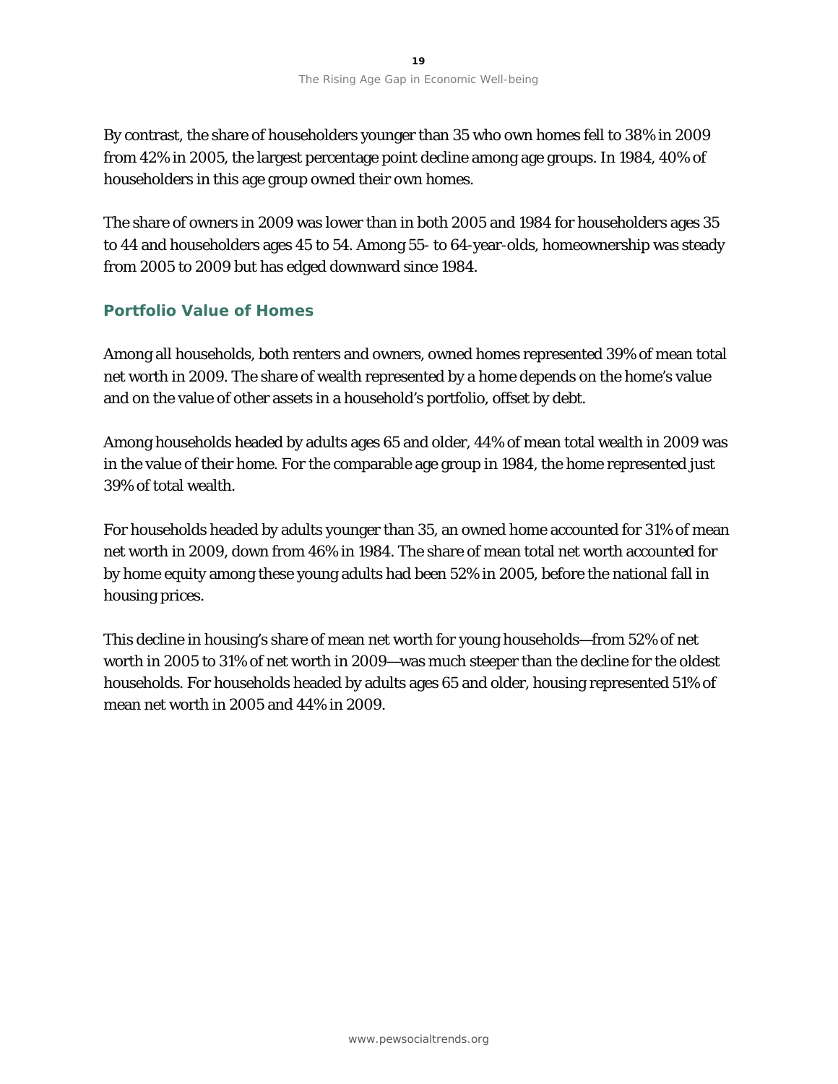By contrast, the share of householders younger than 35 who own homes fell to 38% in 2009 from 42% in 2005, the largest percentage point decline among age groups. In 1984, 40% of householders in this age group owned their own homes.

The share of owners in 2009 was lower than in both 2005 and 1984 for householders ages 35 to 44 and householders ages 45 to 54. Among 55- to 64-year-olds, homeownership was steady from 2005 to 2009 but has edged downward since 1984.

# **Portfolio Value of Homes**

Among all households, both renters and owners, owned homes represented 39% of mean total net worth in 2009. The share of wealth represented by a home depends on the home's value and on the value of other assets in a household's portfolio, offset by debt.

Among households headed by adults ages 65 and older, 44% of mean total wealth in 2009 was in the value of their home. For the comparable age group in 1984, the home represented just 39% of total wealth.

For households headed by adults younger than 35, an owned home accounted for 31% of mean net worth in 2009, down from 46% in 1984. The share of mean total net worth accounted for by home equity among these young adults had been 52% in 2005, before the national fall in housing prices.

This decline in housing's share of mean net worth for young households—from 52% of net worth in 2005 to 31% of net worth in 2009—was much steeper than the decline for the oldest households. For households headed by adults ages 65 and older, housing represented 51% of mean net worth in 2005 and 44% in 2009.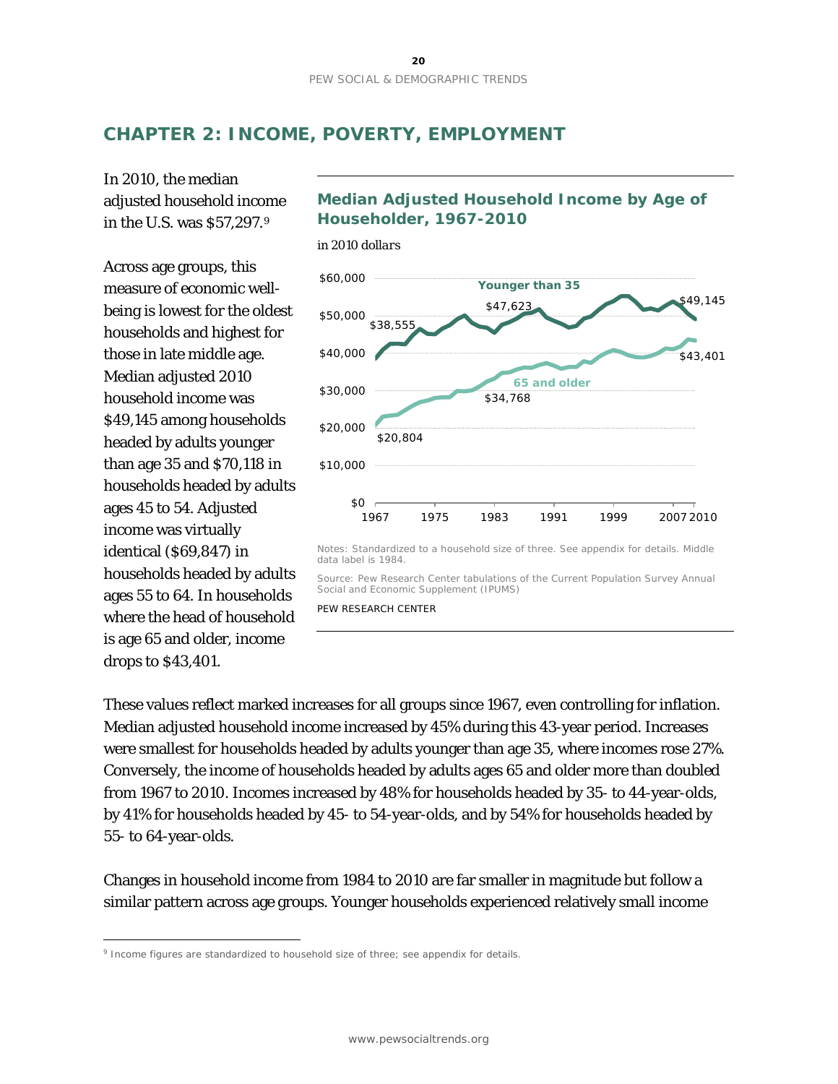# **CHAPTER 2: INCOME, POVERTY, EMPLOYMENT**

In 2010, the median adjusted household income in the U.S. was \$57,297.[9](#page-21-0)

Across age groups, this measure of economic wellbeing is lowest for the oldest households and highest for those in late middle age. Median adjusted 2010 household income was \$49,145 among households headed by adults younger than age 35 and \$70,118 in households headed by adults ages 45 to 54. Adjusted income was virtually identical (\$69,847) in households headed by adults ages 55 to 64. In households where the head of household is age 65 and older, income drops to \$43,401.

 $\overline{a}$ 



**Median Adjusted Household Income by Age of** 

Notes: Standardized to a household size of three. See appendix for details. Middle data label is 1984.

Source: Pew Research Center tabulations of the Current Population Survey Annual Social and Economic Supplement (IPUMS)

PEW RESEARCH CENTER

These values reflect marked increases for all groups since 1967, even controlling for inflation. Median adjusted household income increased by 45% during this 43-year period. Increases were smallest for households headed by adults younger than age 35, where incomes rose 27%. Conversely, the income of households headed by adults ages 65 and older more than doubled from 1967 to 2010. Incomes increased by 48% for households headed by 35- to 44-year-olds, by 41% for households headed by 45- to 54-year-olds, and by 54% for households headed by 55- to 64-year-olds.

Changes in household income from 1984 to 2010 are far smaller in magnitude but follow a similar pattern across age groups. Younger households experienced relatively small income

<span id="page-21-0"></span><sup>9</sup> Income figures are standardized to household size of three; see appendix for details.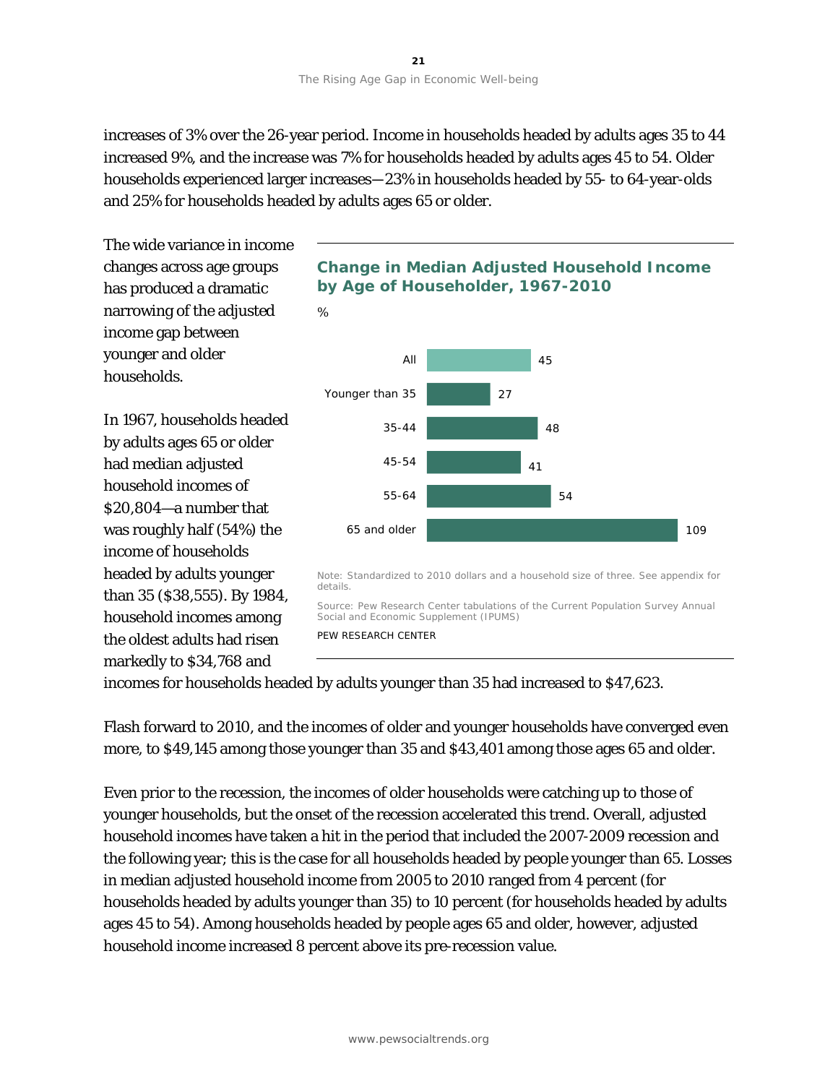increases of 3% over the 26-year period. Income in households headed by adults ages 35 to 44 increased 9%, and the increase was 7% for households headed by adults ages 45 to 54. Older households experienced larger increases—23% in households headed by 55- to 64-year-olds and 25% for households headed by adults ages 65 or older.

45 27 48 41 54 109 All Younger than 35 35-44 45-54 55-64 65 and older The wide variance in income changes across age groups has produced a dramatic narrowing of the adjusted income gap between younger and older households. In 1967, households headed by adults ages 65 or older had median adjusted household incomes of \$20,804—a number that was roughly half (54%) the income of households headed by adults younger than 35 (\$38,555). By 1984, household incomes among the oldest adults had risen markedly to \$34,768 and **Change in Median Adjusted Household Income by Age of Householder, 1967-2010** *%* Note: Standardized to 2010 dollars and a household size of three. See appendix for details. Source: Pew Research Center tabulations of the Current Population Survey Annual Social and Economic Supplement (IPUMS) PEW RESEARCH CENTER

incomes for households headed by adults younger than 35 had increased to \$47,623.

Flash forward to 2010, and the incomes of older and younger households have converged even more, to \$49,145 among those younger than 35 and \$43,401 among those ages 65 and older.

Even prior to the recession, the incomes of older households were catching up to those of younger households, but the onset of the recession accelerated this trend. Overall, adjusted household incomes have taken a hit in the period that included the 2007-2009 recession and the following year; this is the case for all households headed by people younger than 65. Losses in median adjusted household income from 2005 to 2010 ranged from 4 percent (for households headed by adults younger than 35) to 10 percent (for households headed by adults ages 45 to 54). Among households headed by people ages 65 and older, however, adjusted household income increased 8 percent above its pre-recession value.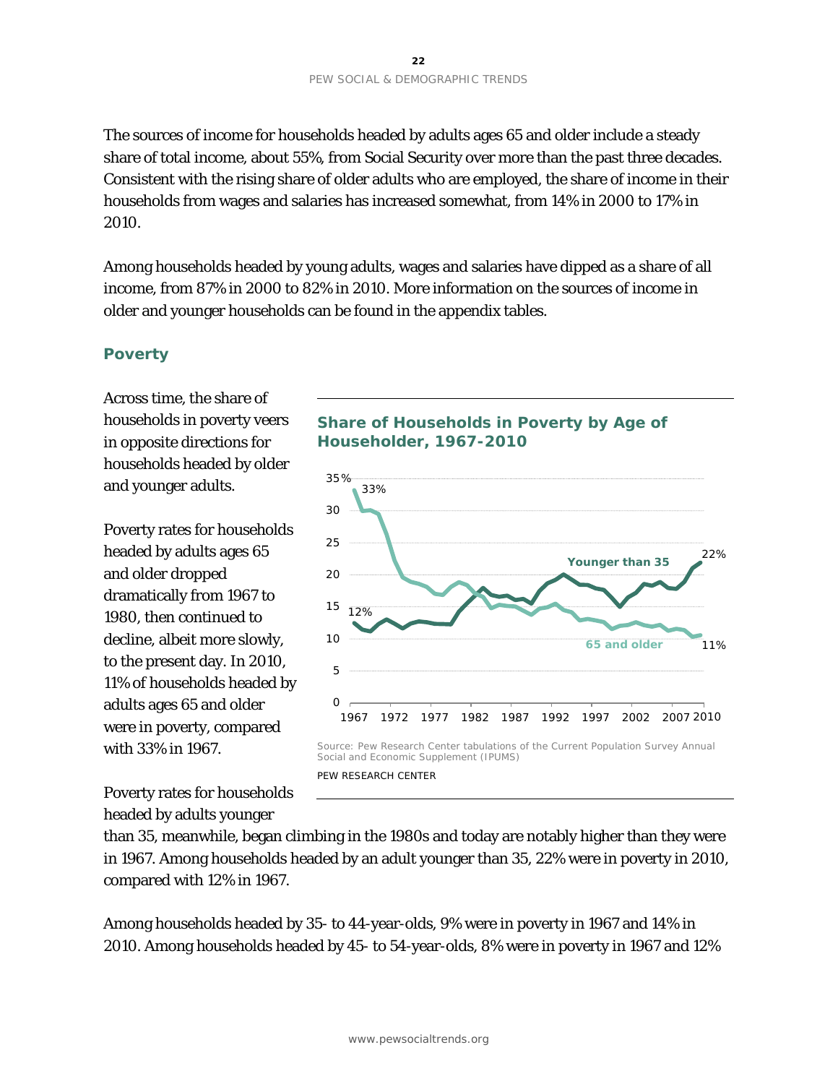The sources of income for households headed by adults ages 65 and older include a steady share of total income, about 55%, from Social Security over more than the past three decades. Consistent with the rising share of older adults who are employed, the share of income in their households from wages and salaries has increased somewhat, from 14% in 2000 to 17% in 2010.

Among households headed by young adults, wages and salaries have dipped as a share of all income, from 87% in 2000 to 82% in 2010. More information on the sources of income in older and younger households can be found in the appendix tables.

### **Poverty**

Across time, the share of households in poverty veers in opposite directions for households headed by older and younger adults.

Poverty rates for households headed by adults ages 65 and older dropped dramatically from 1967 to 1980, then continued to decline, albeit more slowly, to the present day. In 2010, 11% of households headed by adults ages 65 and older were in poverty, compared with 33% in 1967.



# **Share of Households in Poverty by Age of Householder, 1967-2010**



PEW RESEARCH CENTER

than 35, meanwhile, began climbing in the 1980s and today are notably higher than they were in 1967. Among households headed by an adult younger than 35, 22% were in poverty in 2010, compared with 12% in 1967.

Among households headed by 35- to 44-year-olds, 9% were in poverty in 1967 and 14% in 2010. Among households headed by 45- to 54-year-olds, 8% were in poverty in 1967 and 12%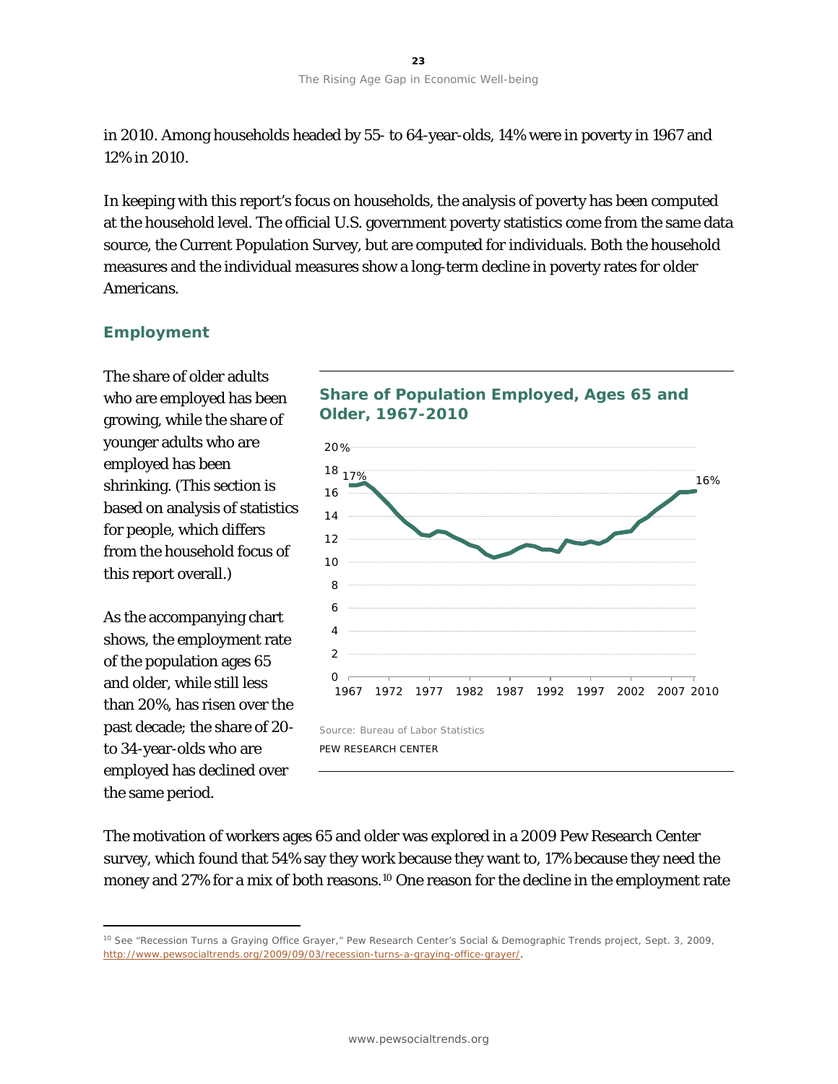in 2010. Among households headed by 55- to 64-year-olds, 14% were in poverty in 1967 and 12% in 2010.

In keeping with this report's focus on households, the analysis of poverty has been computed at the household level. The official U.S. government poverty statistics come from the same data source, the Current Population Survey, but are computed for individuals. Both the household measures and the individual measures show a long-term decline in poverty rates for older Americans.

# **Employment**

The share of older adults who are employed has been growing, while the share of younger adults who are employed has been shrinking. (This section is based on analysis of statistics for people, which differs from the household focus of this report overall.)

As the accompanying chart shows, the employment rate of the population ages 65 and older, while still less than 20%, has risen over the past decade; the share of 20 to 34-year-olds who are employed has declined over the same period.

 $\overline{a}$ 

# **Share of Population Employed, Ages 65 and Older, 1967-2010**



The motivation of workers ages 65 and older was explored in a 2009 Pew Research Center survey, which found that 54% say they work because they want to, 17% because they need the money and 27% for a mix of both reasons.[10](#page-24-0) One reason for the decline in the employment rate

<span id="page-24-0"></span><sup>&</sup>lt;sup>10</sup> See "Recession Turns a Graying Office Grayer," Pew Research Center's Social & Demographic Trends project, Sept. 3, 2009, [http://www.pewsocialtrends.org/2009/09/03/recession-turns-a-graying-office-grayer/.](http://www.pewsocialtrends.org/2009/09/03/recession-turns-a-graying-office-grayer/)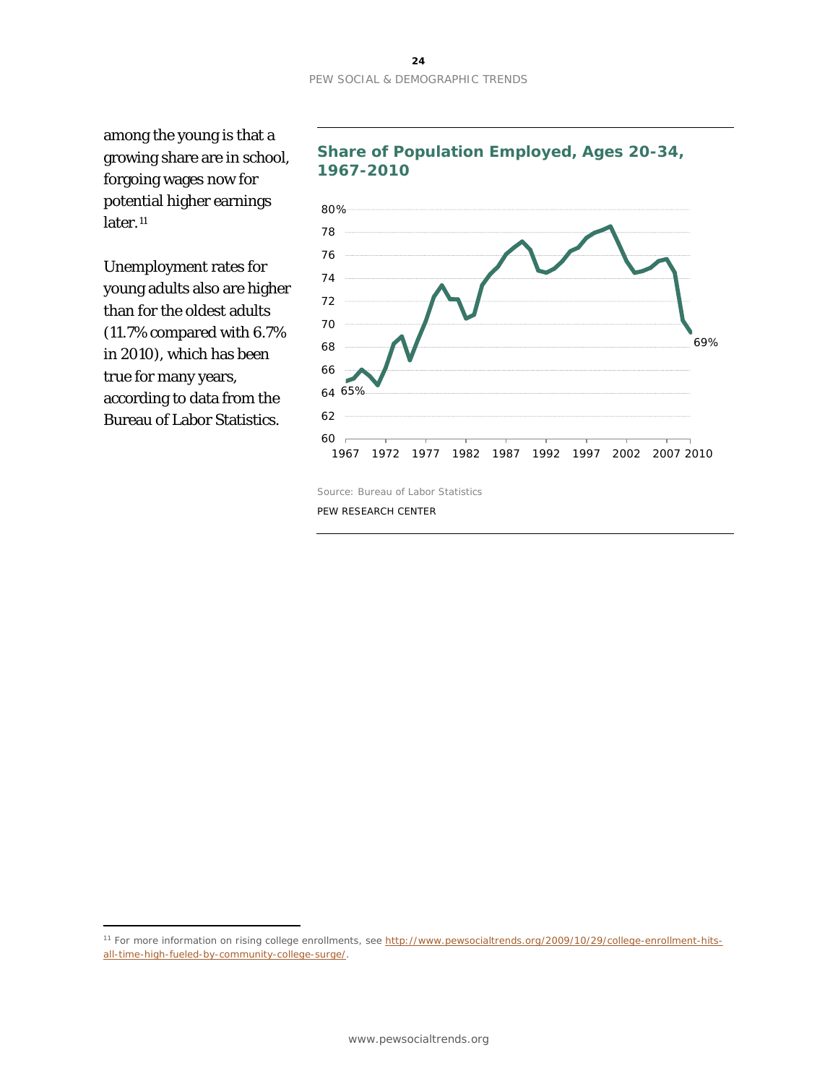among the young is that a growing share are in school, forgoing wages now for potential higher earnings later.<sup>[11](#page-25-0)</sup>

Unemployment rates for young adults also are higher than for the oldest adults (11.7% compared with 6.7% in 2010), which has been true for many years, according to data from the Bureau of Labor Statistics.

 $\overline{a}$ 





<span id="page-25-0"></span><sup>&</sup>lt;sup>11</sup> For more information on rising college enrollments, see [http://www.pewsocialtrends.org/2009/10/29/college-enrollment-hits](http://www.pewsocialtrends.org/2009/10/29/college-enrollment-hits-all-time-high-fueled-by-community-college-surge/)[all-time-high-fueled-by-community-college-surge/.](http://www.pewsocialtrends.org/2009/10/29/college-enrollment-hits-all-time-high-fueled-by-community-college-surge/)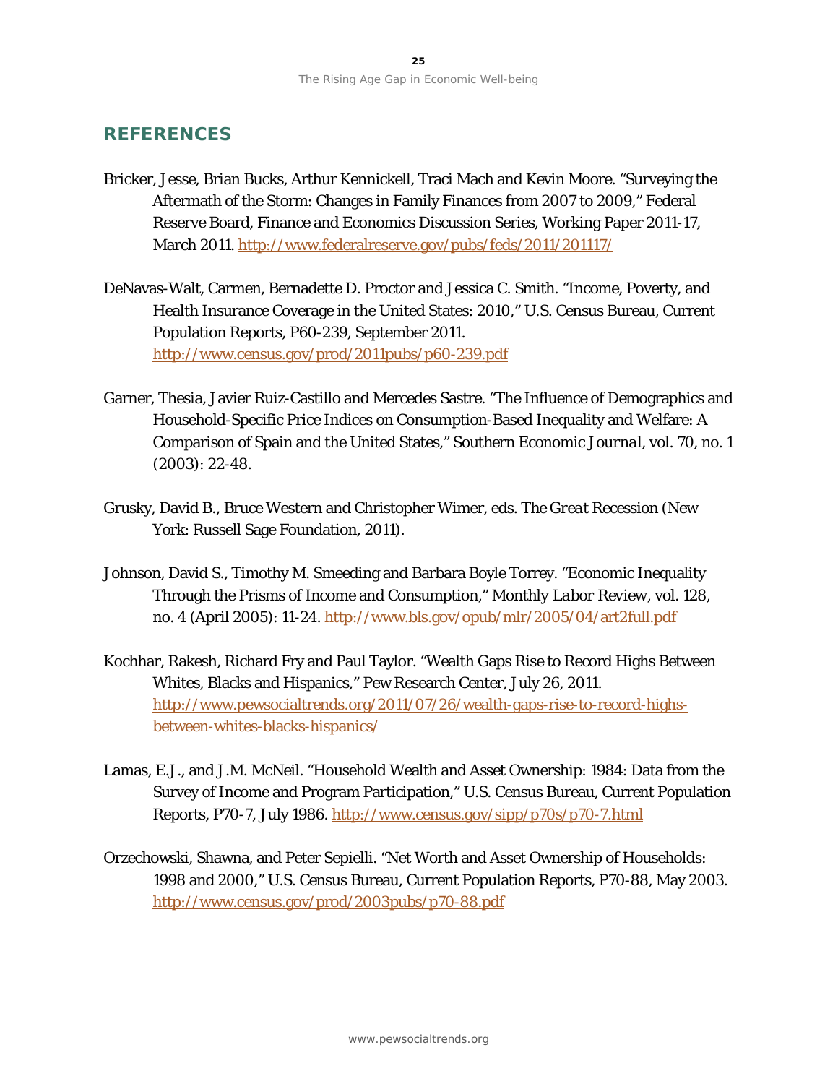# **REFERENCES**

- Bricker, Jesse, Brian Bucks, Arthur Kennickell, Traci Mach and Kevin Moore. "Surveying the Aftermath of the Storm: Changes in Family Finances from 2007 to 2009," Federal Reserve Board, Finance and Economics Discussion Series, Working Paper 2011-17, March 2011. <http://www.federalreserve.gov/pubs/feds/2011/201117/>
- DeNavas-Walt, Carmen, Bernadette D. Proctor and Jessica C. Smith. "Income, Poverty, and Health Insurance Coverage in the United States: 2010," U.S. Census Bureau, Current Population Reports, P60-239, September 2011. <http://www.census.gov/prod/2011pubs/p60-239.pdf>
- Garner, Thesia, Javier Ruiz-Castillo and Mercedes Sastre. "The Influence of Demographics and Household-Specific Price Indices on Consumption-Based Inequality and Welfare: A Comparison of Spain and the United States," *Southern Economic Journal*, vol. 70, no. 1 (2003): 22-48.
- Grusky, David B., Bruce Western and Christopher Wimer, eds. *The Great Recession* (New York: Russell Sage Foundation, 2011).
- Johnson, David S., Timothy M. Smeeding and Barbara Boyle Torrey. "Economic Inequality Through the Prisms of Income and Consumption," *Monthly Labor Review*, vol. 128, no. 4 (April 2005): 11-24. <http://www.bls.gov/opub/mlr/2005/04/art2full.pdf>
- Kochhar, Rakesh, Richard Fry and Paul Taylor. "Wealth Gaps Rise to Record Highs Between Whites, Blacks and Hispanics," Pew Research Center, July 26, 2011. [http://www.pewsocialtrends.org/2011/07/26/wealth-gaps-rise-to-record-highs](http://www.pewsocialtrends.org/2011/07/26/wealth-gaps-rise-to-record-highs-between-whites-blacks-hispanics/)[between-whites-blacks-hispanics/](http://www.pewsocialtrends.org/2011/07/26/wealth-gaps-rise-to-record-highs-between-whites-blacks-hispanics/)
- Lamas, E.J., and J.M. McNeil. "Household Wealth and Asset Ownership: 1984: Data from the Survey of Income and Program Participation," U.S. Census Bureau, Current Population Reports, P70-7, July 1986. <http://www.census.gov/sipp/p70s/p70-7.html>
- Orzechowski, Shawna, and Peter Sepielli. "Net Worth and Asset Ownership of Households: 1998 and 2000," U.S. Census Bureau, Current Population Reports, P70-88, May 2003. <http://www.census.gov/prod/2003pubs/p70-88.pdf>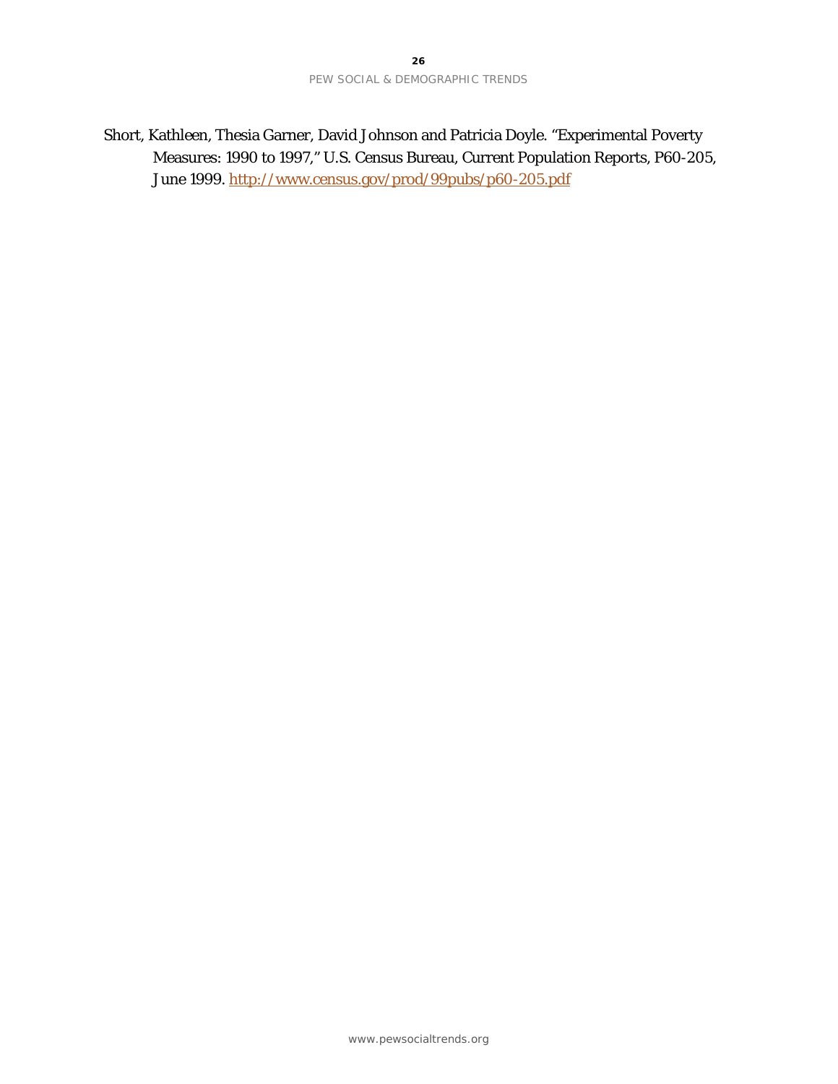Short, Kathleen, Thesia Garner, David Johnson and Patricia Doyle. "Experimental Poverty Measures: 1990 to 1997," U.S. Census Bureau, Current Population Reports, P60-205, June 1999. <http://www.census.gov/prod/99pubs/p60-205.pdf>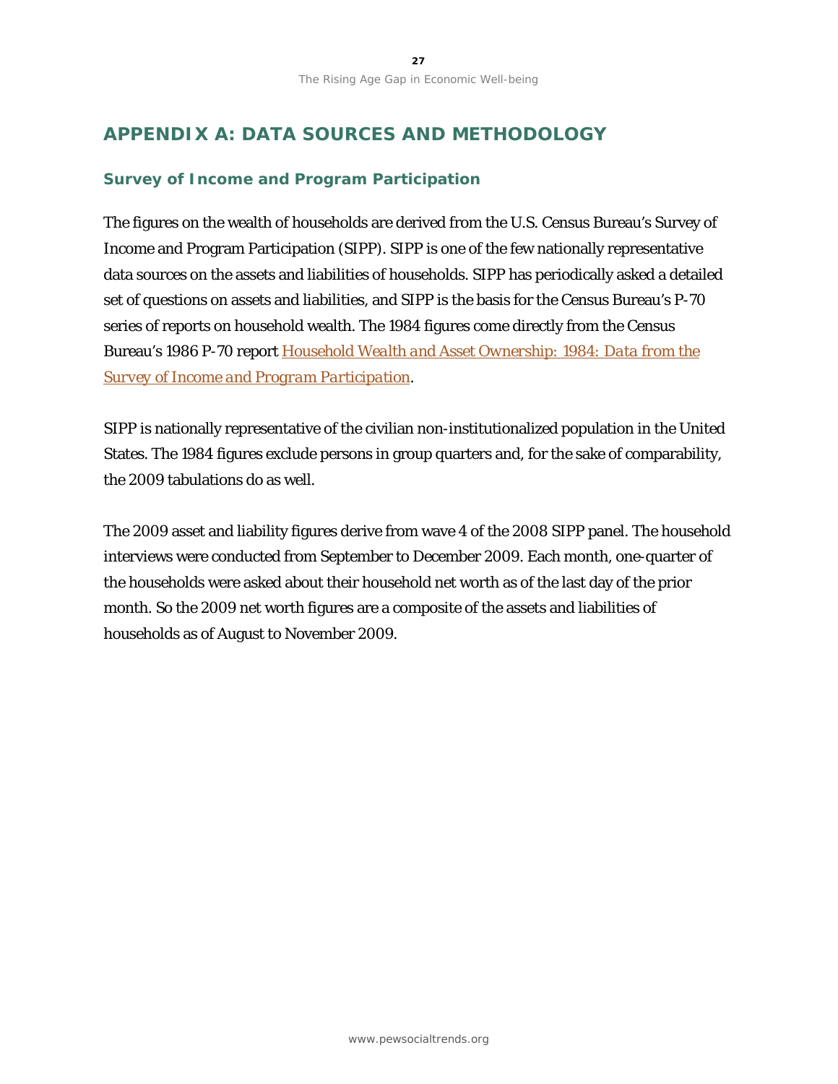# **APPENDIX A: DATA SOURCES AND METHODOLOGY**

## **Survey of Income and Program Participation**

The figures on the wealth of households are derived from the U.S. Census Bureau's Survey of Income and Program Participation (SIPP). SIPP is one of the few nationally representative data sources on the assets and liabilities of households. SIPP has periodically asked a detailed set of questions on assets and liabilities, and SIPP is the basis for the Census Bureau's P-70 series of reports on household wealth. The 1984 figures come directly from the Census Bureau's 1986 P-70 report *[Household Wealth and Asset Ownership: 1984: Data from the](http://www.census.gov/sipp/p70s/p70-7.html)  [Survey of Income and Program Participation](http://www.census.gov/sipp/p70s/p70-7.html)*.

SIPP is nationally representative of the civilian non-institutionalized population in the United States. The 1984 figures exclude persons in group quarters and, for the sake of comparability, the 2009 tabulations do as well.

The 2009 asset and liability figures derive from wave 4 of the 2008 SIPP panel. The household interviews were conducted from September to December 2009. Each month, one-quarter of the households were asked about their household net worth as of the last day of the prior month. So the 2009 net worth figures are a composite of the assets and liabilities of households as of August to November 2009.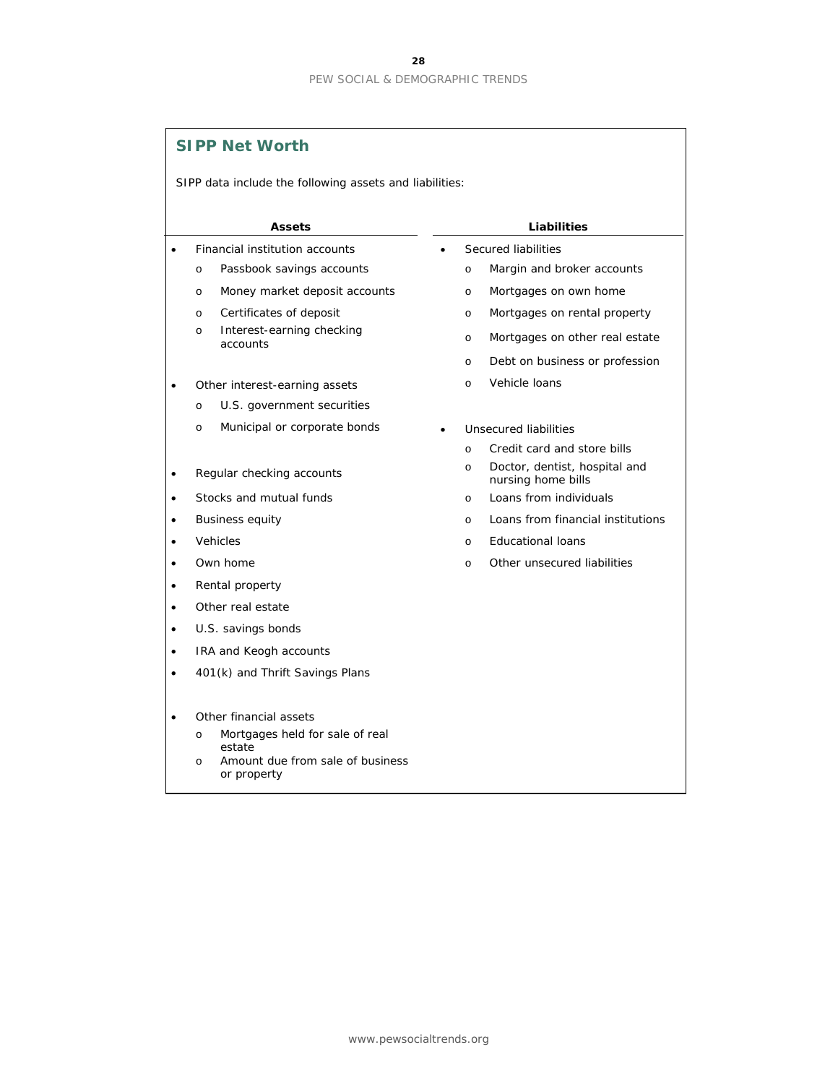|           | <b>SIPP Net Worth</b>                                   |                                                                |
|-----------|---------------------------------------------------------|----------------------------------------------------------------|
|           | SIPP data include the following assets and liabilities: |                                                                |
|           |                                                         |                                                                |
|           | <b>Assets</b>                                           | <b>Liabilities</b>                                             |
| $\bullet$ | Financial institution accounts                          | Secured liabilities                                            |
|           | Passbook savings accounts<br>$\circ$                    | Margin and broker accounts<br>$\circ$                          |
|           | Money market deposit accounts<br>$\circ$                | Mortgages on own home<br>$\circ$                               |
|           | Certificates of deposit<br>$\circ$                      | Mortgages on rental property<br>$\circ$                        |
|           | Interest-earning checking<br>$\circ$<br>accounts        | Mortgages on other real estate<br>$\circ$                      |
|           |                                                         | Debt on business or profession<br>$\circ$                      |
|           | Other interest-earning assets                           | Vehicle Ioans<br>$\circ$                                       |
|           | U.S. government securities<br>$\circ$                   |                                                                |
|           | Municipal or corporate bonds<br>$\circ$                 | Unsecured liabilities                                          |
|           |                                                         | Credit card and store bills<br>$\circ$                         |
| $\bullet$ | Regular checking accounts                               | Doctor, dentist, hospital and<br>$\circ$<br>nursing home bills |
|           | Stocks and mutual funds                                 | Loans from individuals<br>$\circ$                              |
|           | <b>Business equity</b>                                  | Loans from financial institutions<br>$\circ$                   |
|           | Vehicles                                                | <b>Educational loans</b><br>$\circ$                            |
|           | Own home                                                | Other unsecured liabilities<br>$\circ$                         |
| $\bullet$ | Rental property                                         |                                                                |
| $\bullet$ | Other real estate                                       |                                                                |
| $\bullet$ | U.S. savings bonds                                      |                                                                |
|           | IRA and Keogh accounts                                  |                                                                |
|           | 401(k) and Thrift Savings Plans                         |                                                                |
|           |                                                         |                                                                |
|           | Other financial assets                                  |                                                                |
|           | Mortgages held for sale of real<br>$\circ$<br>estate    |                                                                |
|           | Amount due from sale of business<br>O<br>or property    |                                                                |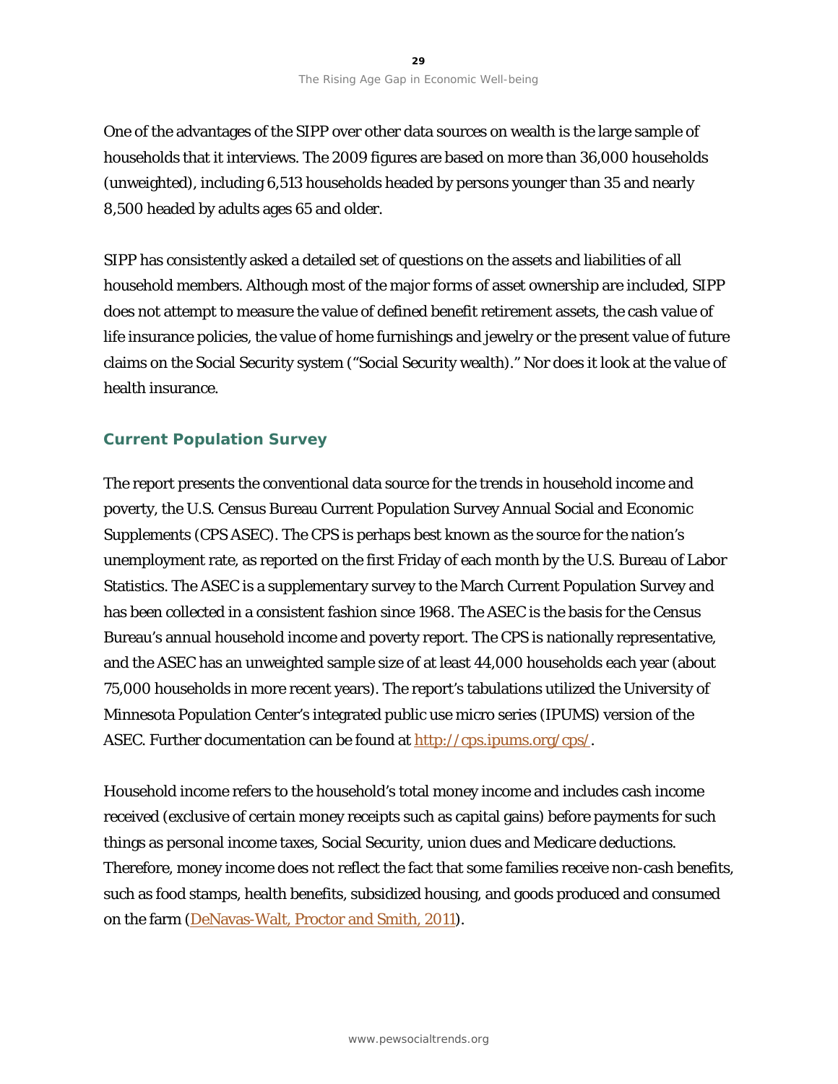One of the advantages of the SIPP over other data sources on wealth is the large sample of households that it interviews. The 2009 figures are based on more than 36,000 households (unweighted), including 6,513 households headed by persons younger than 35 and nearly 8,500 headed by adults ages 65 and older.

SIPP has consistently asked a detailed set of questions on the assets and liabilities of all household members. Although most of the major forms of asset ownership are included, SIPP does not attempt to measure the value of defined benefit retirement assets, the cash value of life insurance policies, the value of home furnishings and jewelry or the present value of future claims on the Social Security system ("Social Security wealth)." Nor does it look at the value of health insurance.

### **Current Population Survey**

The report presents the conventional data source for the trends in household income and poverty, the U.S. Census Bureau Current Population Survey Annual Social and Economic Supplements (CPS ASEC). The CPS is perhaps best known as the source for the nation's unemployment rate, as reported on the first Friday of each month by the U.S. Bureau of Labor Statistics. The ASEC is a supplementary survey to the March Current Population Survey and has been collected in a consistent fashion since 1968. The ASEC is the basis for the Census Bureau's annual household income and poverty report. The CPS is nationally representative, and the ASEC has an unweighted sample size of at least 44,000 households each year (about 75,000 households in more recent years). The report's tabulations utilized the University of Minnesota Population Center's integrated public use micro series (IPUMS) version of the ASEC. Further documentation can be found at [http://cps.ipums.org/cps/.](http://cps.ipums.org/cps/)

Household income refers to the household's total money income and includes cash income received (exclusive of certain money receipts such as capital gains) before payments for such things as personal income taxes, Social Security, union dues and Medicare deductions. Therefore, money income does not reflect the fact that some families receive non-cash benefits, such as food stamps, health benefits, subsidized housing, and goods produced and consumed on the farm [\(DeNavas-Walt, Proctor and Smith, 2011\)](http://www.census.gov/prod/2011pubs/p60-239.pdf).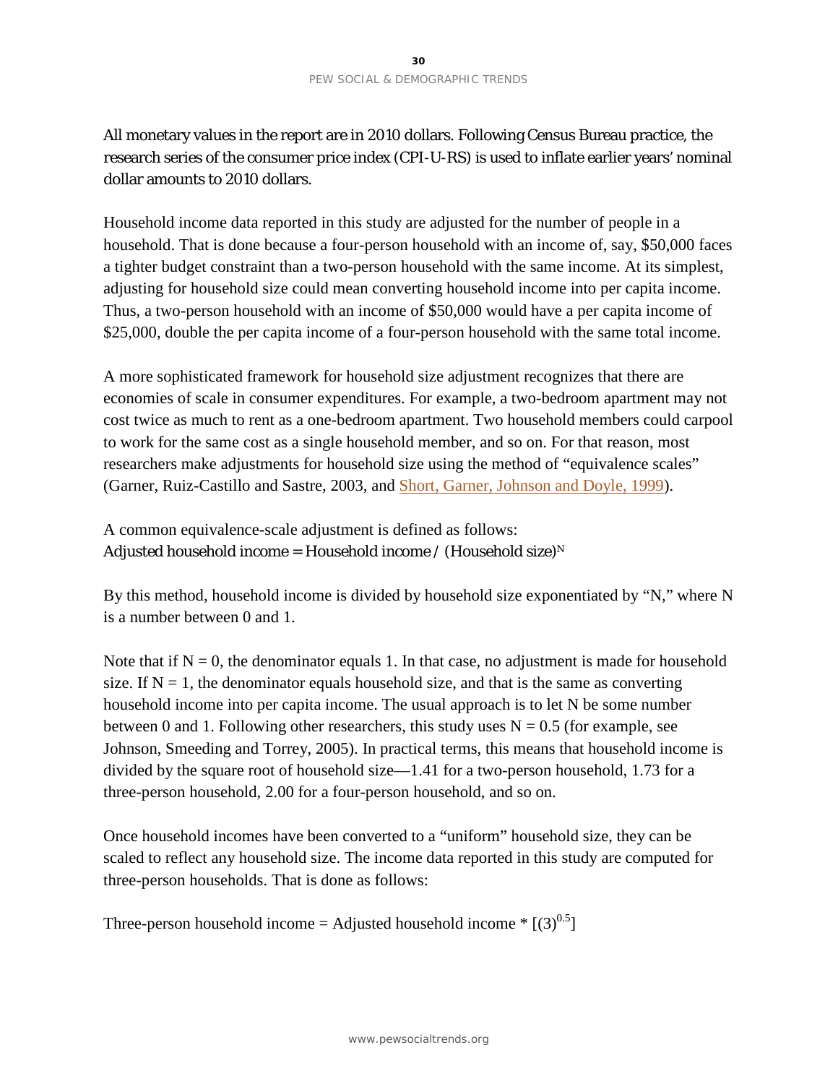All monetary values in the report are in 2010 dollars. Following Census Bureau practice, the research series of the consumer price index (CPI-U-RS) is used to inflate earlier years' nominal dollar amounts to 2010 dollars.

Household income data reported in this study are adjusted for the number of people in a household. That is done because a four-person household with an income of, say, \$50,000 faces a tighter budget constraint than a two-person household with the same income. At its simplest, adjusting for household size could mean converting household income into per capita income. Thus, a two-person household with an income of \$50,000 would have a per capita income of \$25,000, double the per capita income of a four-person household with the same total income.

A more sophisticated framework for household size adjustment recognizes that there are economies of scale in consumer expenditures. For example, a two-bedroom apartment may not cost twice as much to rent as a one-bedroom apartment. Two household members could carpool to work for the same cost as a single household member, and so on. For that reason, most researchers make adjustments for household size using the method of "equivalence scales" (Garner, Ruiz-Castillo and Sastre, 2003, and [Short, Garner, Johnson and Doyle, 1999\)](http://www.census.gov/prod/99pubs/p60-205.pdf).

# A common equivalence-scale adjustment is defined as follows: Adjusted household income = Household income / (Household size)<sup>N</sup>

By this method, household income is divided by household size exponentiated by "N," where N is a number between 0 and 1.

Note that if  $N = 0$ , the denominator equals 1. In that case, no adjustment is made for household size. If  $N = 1$ , the denominator equals household size, and that is the same as converting household income into per capita income. The usual approach is to let N be some number between 0 and 1. Following other researchers, this study uses  $N = 0.5$  (for example, see Johnson, Smeeding and Torrey, 2005). In practical terms, this means that household income is divided by the square root of household size—1.41 for a two-person household, 1.73 for a three-person household, 2.00 for a four-person household, and so on.

Once household incomes have been converted to a "uniform" household size, they can be scaled to reflect any household size. The income data reported in this study are computed for three-person households. That is done as follows:

Three-person household income = Adjusted household income  $*$  [(3)<sup>0.5</sup>]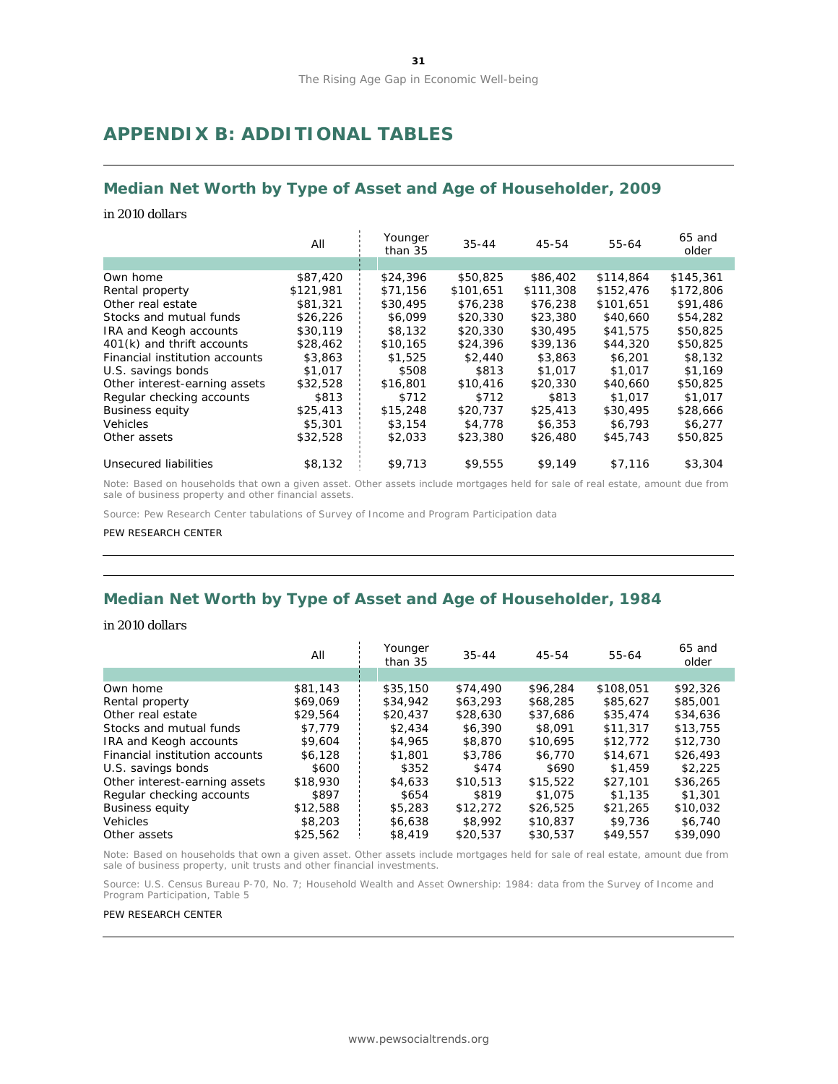# **APPENDIX B: ADDITIONAL TABLES**

#### **Median Net Worth by Type of Asset and Age of Householder, 2009**

#### *in 2010 dollars*

|                                | All       | Younger<br>than 35 | $35 - 44$ | 45-54     | 55-64     | 65 and<br>older |
|--------------------------------|-----------|--------------------|-----------|-----------|-----------|-----------------|
|                                |           |                    |           |           |           |                 |
| Own home                       | \$87,420  | \$24,396           | \$50,825  | \$86,402  | \$114,864 | \$145,361       |
| Rental property                | \$121,981 | \$71,156           | \$101.651 | \$111,308 | \$152,476 | \$172,806       |
| Other real estate              | \$81,321  | \$30,495           | \$76,238  | \$76,238  | \$101,651 | \$91,486        |
| Stocks and mutual funds        | \$26,226  | \$6,099            | \$20,330  | \$23,380  | \$40,660  | \$54,282        |
| IRA and Keogh accounts         | \$30,119  | \$8,132            | \$20,330  | \$30,495  | \$41,575  | \$50,825        |
| 401(k) and thrift accounts     | \$28,462  | \$10,165           | \$24,396  | \$39,136  | \$44,320  | \$50,825        |
| Financial institution accounts | \$3,863   | \$1,525            | \$2,440   | \$3,863   | \$6,201   | \$8,132         |
| U.S. savings bonds             | \$1,017   | \$508              | \$813     | \$1,017   | \$1,017   | \$1.169         |
| Other interest-earning assets  | \$32,528  | \$16,801           | \$10,416  | \$20,330  | \$40,660  | \$50,825        |
| Regular checking accounts      | \$813     | \$712              | \$712     | \$813     | \$1,017   | \$1,017         |
| <b>Business equity</b>         | \$25.413  | \$15,248           | \$20,737  | \$25,413  | \$30,495  | \$28,666        |
| <b>Vehicles</b>                | \$5,301   | \$3,154            | \$4,778   | \$6,353   | \$6,793   | \$6,277         |
| Other assets                   | \$32,528  | \$2,033            | \$23,380  | \$26,480  | \$45,743  | \$50,825        |
| Unsecured liabilities          | \$8,132   | \$9.713            | \$9,555   | \$9,149   | \$7,116   | \$3,304         |

Note: Based on households that own a given asset. Other assets include mortgages held for sale of real estate, amount due from sale of business property and other financial assets.

Source: Pew Research Center tabulations of Survey of Income and Program Participation data

#### PEW RESEARCH CENTER

# **Median Net Worth by Type of Asset and Age of Householder, 1984**

#### *in 2010 dollars*

|                                | All      | Younger<br>than 35 | $35 - 44$ | 45-54    | 55-64     | 65 and<br>older |
|--------------------------------|----------|--------------------|-----------|----------|-----------|-----------------|
|                                |          |                    |           |          |           |                 |
| Own home                       | \$81,143 | \$35,150           | \$74,490  | \$96,284 | \$108,051 | \$92,326        |
| Rental property                | \$69,069 | \$34,942           | \$63,293  | \$68,285 | \$85,627  | \$85,001        |
| Other real estate              | \$29.564 | \$20,437           | \$28,630  | \$37,686 | \$35,474  | \$34,636        |
| Stocks and mutual funds        | \$7.779  | \$2.434            | \$6,390   | \$8,091  | \$11,317  | \$13,755        |
| <b>IRA and Keogh accounts</b>  | \$9,604  | \$4,965            | \$8,870   | \$10,695 | \$12,772  | \$12,730        |
| Financial institution accounts | \$6,128  | \$1,801            | \$3,786   | \$6,770  | \$14,671  | \$26,493        |
| U.S. savings bonds             | \$600    | \$352              | \$474     | \$690    | \$1,459   | \$2.225         |
| Other interest-earning assets  | \$18,930 | \$4,633            | \$10,513  | \$15,522 | \$27,101  | \$36,265        |
| Regular checking accounts      | \$897    | \$654              | \$819     | \$1,075  | \$1,135   | \$1,301         |
| <b>Business equity</b>         | \$12,588 | \$5,283            | \$12,272  | \$26,525 | \$21,265  | \$10,032        |
| <b>Vehicles</b>                | \$8,203  | \$6,638            | \$8,992   | \$10,837 | \$9,736   | \$6,740         |
| Other assets                   | \$25,562 | \$8,419            | \$20,537  | \$30,537 | \$49.557  | \$39,090        |

Note: Based on households that own a given asset. Other assets include mortgages held for sale of real estate, amount due from sale of business property, unit trusts and other financial investments.

Source: U.S. Census Bureau P-70, No. 7; *Household Wealth and Asset Ownership: 1984: data from the Survey of Income and Program Participation*, Table 5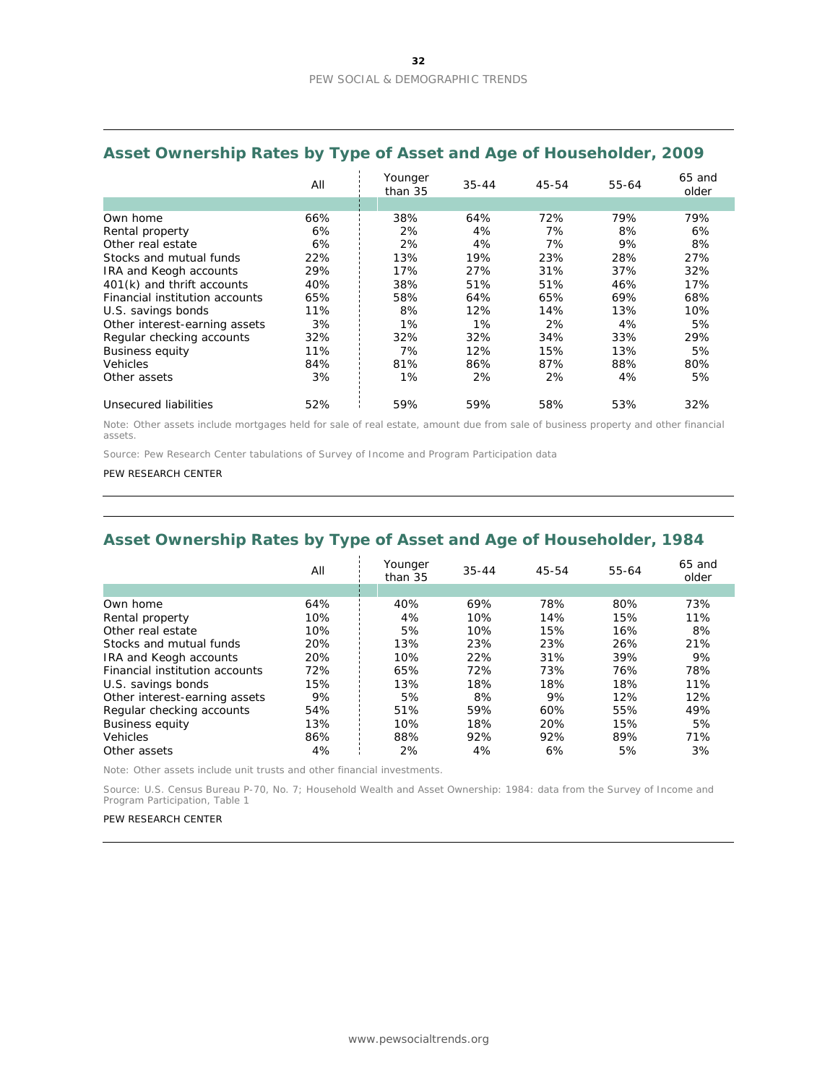|                                | All | Younger<br>than 35 | $35 - 44$ | 45-54 | 55-64 | $65$ and<br>older |
|--------------------------------|-----|--------------------|-----------|-------|-------|-------------------|
|                                |     |                    |           |       |       |                   |
| Own home                       | 66% | 38%                | 64%       | 72%   | 79%   | 79%               |
| Rental property                | 6%  | 2%                 | 4%        | 7%    | 8%    | 6%                |
| Other real estate              | 6%  | 2%                 | 4%        | 7%    | 9%    | 8%                |
| Stocks and mutual funds        | 22% | 13%                | 19%       | 23%   | 28%   | 27%               |
| <b>IRA and Keogh accounts</b>  | 29% | 17%                | 27%       | 31%   | 37%   | 32%               |
| 401(k) and thrift accounts     | 40% | 38%                | 51%       | 51%   | 46%   | 17%               |
| Financial institution accounts | 65% | 58%                | 64%       | 65%   | 69%   | 68%               |
| U.S. savings bonds             | 11% | 8%                 | 12%       | 14%   | 13%   | 10%               |
| Other interest-earning assets  | 3%  | 1%                 | 1%        | 2%    | 4%    | 5%                |
| Regular checking accounts      | 32% | 32%                | 32%       | 34%   | 33%   | 29%               |
| <b>Business equity</b>         | 11% | 7%                 | 12%       | 15%   | 13%   | 5%                |
| <b>Vehicles</b>                | 84% | 81%                | 86%       | 87%   | 88%   | 80%               |
| Other assets                   | 3%  | 1%                 | 2%        | 2%    | 4%    | 5%                |
| Unsecured liabilities          | 52% | 59%                | 59%       | 58%   | 53%   | 32%               |

### **Asset Ownership Rates by Type of Asset and Age of Householder, 2009**

Note: Other assets include mortgages held for sale of real estate, amount due from sale of business property and other financial assets.

Source: Pew Research Center tabulations of Survey of Income and Program Participation data

#### PEW RESEARCH CENTER

### **Asset Ownership Rates by Type of Asset and Age of Householder, 1984**

|                                | All | Younger<br>than 35 | $35 - 44$ | 45-54 | 55-64 | $65$ and<br>older |
|--------------------------------|-----|--------------------|-----------|-------|-------|-------------------|
|                                |     |                    |           |       |       |                   |
| Own home                       | 64% | 40%                | 69%       | 78%   | 80%   | 73%               |
| Rental property                | 10% | 4%                 | 10%       | 14%   | 15%   | 11%               |
| Other real estate              | 10% | 5%                 | 10%       | 15%   | 16%   | 8%                |
| Stocks and mutual funds        | 20% | 13%                | 23%       | 23%   | 26%   | 21%               |
| <b>IRA and Keogh accounts</b>  | 20% | 10%                | 22%       | 31%   | 39%   | 9%                |
| Financial institution accounts | 72% | 65%                | 72%       | 73%   | 76%   | 78%               |
| U.S. savings bonds             | 15% | 13%                | 18%       | 18%   | 18%   | 11%               |
| Other interest-earning assets  | 9%  | 5%                 | 8%        | 9%    | 12%   | 12%               |
| Regular checking accounts      | 54% | 51%                | 59%       | 60%   | 55%   | 49%               |
| <b>Business equity</b>         | 13% | 10%                | 18%       | 20%   | 15%   | 5%                |
| <b>Vehicles</b>                | 86% | 88%                | 92%       | 92%   | 89%   | 71%               |
| Other assets                   | 4%  | 2%                 | 4%        | 6%    | 5%    | 3%                |

Note: Other assets include unit trusts and other financial investments.

Source: U.S. Census Bureau P-70, No. 7; *Household Wealth and Asset Ownership: 1984: data from the Survey of Income and Program Participation*, Table 1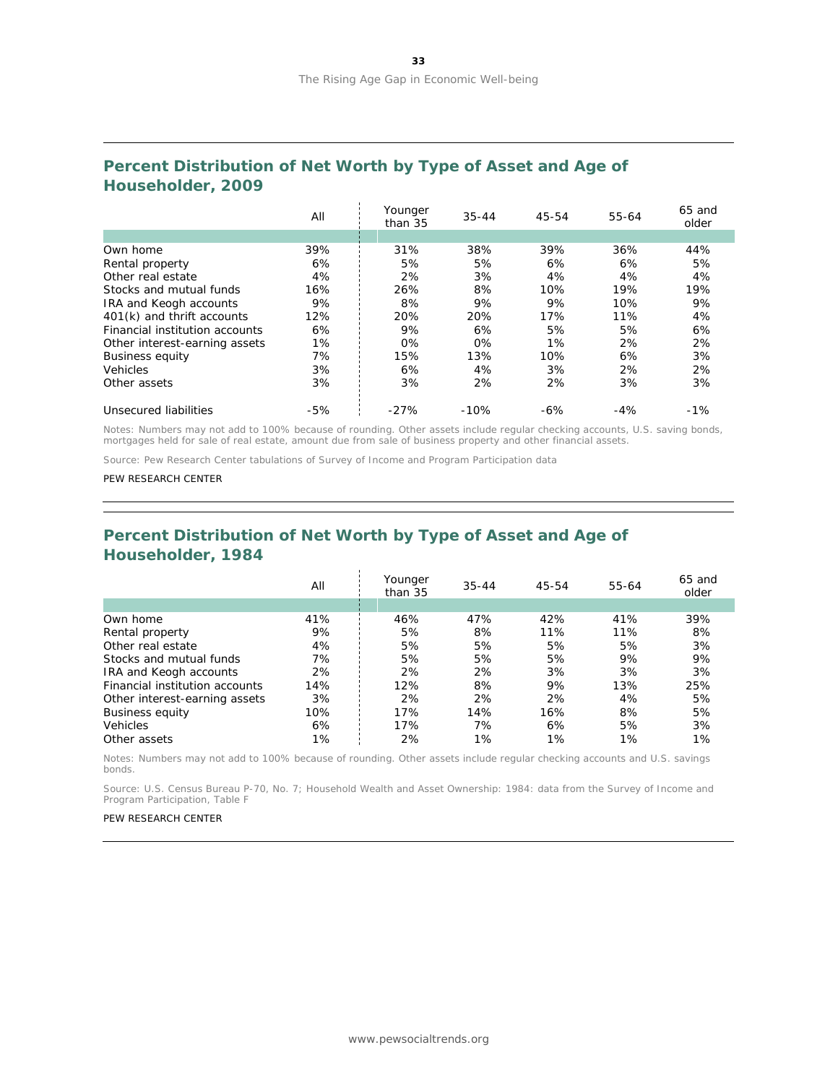### **Percent Distribution of Net Worth by Type of Asset and Age of Householder, 2009**

|                                | All   | Younger<br>than 35 | $35 - 44$ | 45-54 | 55-64 | 65 and<br>older |
|--------------------------------|-------|--------------------|-----------|-------|-------|-----------------|
|                                |       |                    |           |       |       |                 |
| Own home                       | 39%   | 31%                | 38%       | 39%   | 36%   | 44%             |
| Rental property                | 6%    | 5%                 | 5%        | 6%    | 6%    | 5%              |
| Other real estate              | 4%    | 2%                 | 3%        | 4%    | 4%    | 4%              |
| Stocks and mutual funds        | 16%   | 26%                | 8%        | 10%   | 19%   | 19%             |
| <b>IRA and Keogh accounts</b>  | 9%    | 8%                 | 9%        | 9%    | 10%   | 9%              |
| 401(k) and thrift accounts     | 12%   | 20%                | 20%       | 17%   | 11%   | 4%              |
| Financial institution accounts | 6%    | 9%                 | 6%        | 5%    | 5%    | 6%              |
| Other interest-earning assets  | 1%    | 0%                 | $0\%$     | 1%    | 2%    | 2%              |
| <b>Business equity</b>         | 7%    | 15%                | 13%       | 10%   | 6%    | 3%              |
| Vehicles                       | 3%    | 6%                 | 4%        | 3%    | 2%    | 2%              |
| Other assets                   | 3%    | 3%                 | 2%        | 2%    | 3%    | 3%              |
| Unsecured liabilities          | $-5%$ | $-27%$             | $-10%$    | $-6%$ | $-4%$ | $-1%$           |

Notes: Numbers may not add to 100% because of rounding. Other assets include regular checking accounts, U.S. saving bonds, mortgages held for sale of real estate, amount due from sale of business property and other financial assets.

Source: Pew Research Center tabulations of Survey of Income and Program Participation data

#### PEW RESEARCH CENTER

### **Percent Distribution of Net Worth by Type of Asset and Age of Householder, 1984**

|                                | All | Younger<br>than 35 | $35 - 44$ | 45-54 | 55-64 | $65$ and<br>older |
|--------------------------------|-----|--------------------|-----------|-------|-------|-------------------|
|                                |     |                    |           |       |       |                   |
| Own home                       | 41% | 46%                | 47%       | 42%   | 41%   | 39%               |
| Rental property                | 9%  | 5%                 | 8%        | 11%   | 11%   | 8%                |
| Other real estate              | 4%  | 5%                 | 5%        | 5%    | 5%    | 3%                |
| Stocks and mutual funds        | 7%  | 5%                 | 5%        | 5%    | 9%    | 9%                |
| IRA and Keogh accounts         | 2%  | 2%                 | 2%        | 3%    | 3%    | 3%                |
| Financial institution accounts | 14% | 12%                | 8%        | 9%    | 13%   | 25%               |
| Other interest-earning assets  | 3%  | 2%                 | 2%        | 2%    | 4%    | 5%                |
| <b>Business equity</b>         | 10% | 17%                | 14%       | 16%   | 8%    | 5%                |
| <b>Vehicles</b>                | 6%  | 17%                | 7%        | 6%    | 5%    | 3%                |
| Other assets                   | 1%  | 2%                 | 1%        | 1%    | 1%    | $1\%$             |

Notes: Numbers may not add to 100% because of rounding. Other assets include regular checking accounts and U.S. savings bonds.

Source: U.S. Census Bureau P-70, No. 7; *Household Wealth and Asset Ownership: 1984: data from the Survey of Income and Program Participation*, Table F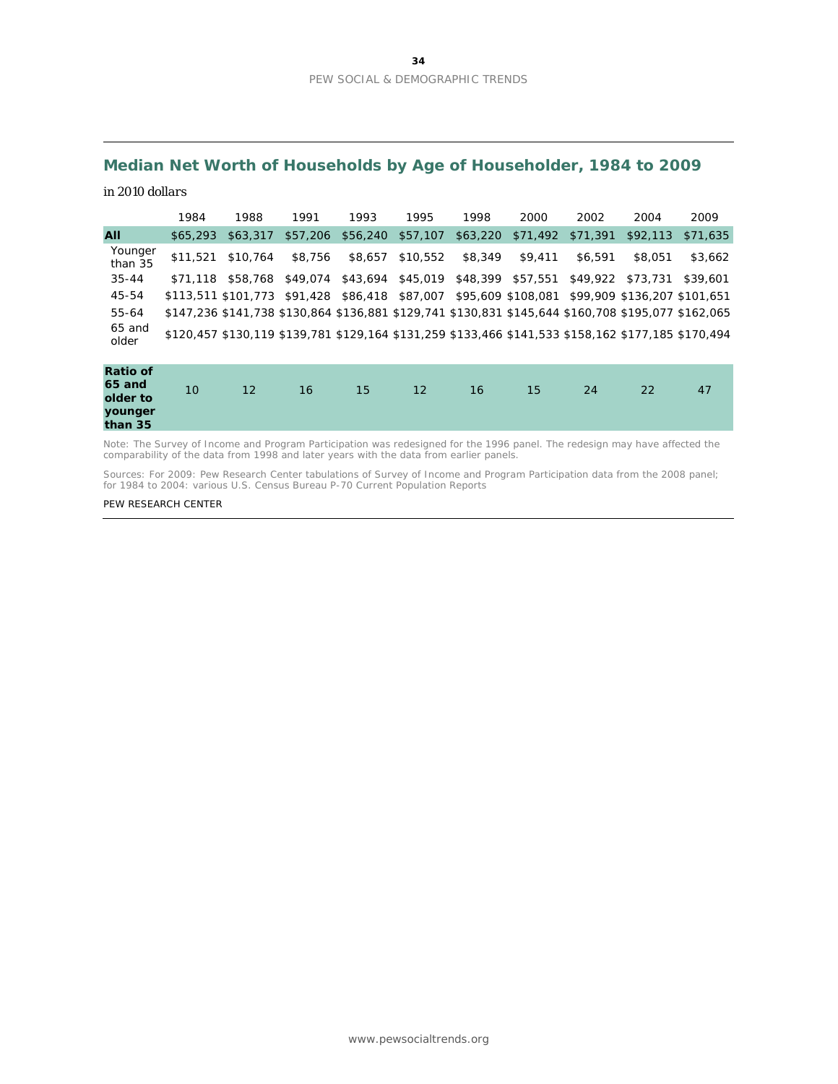# **Median Net Worth of Households by Age of Householder, 1984 to 2009**

#### *in 2010 dollars*

|                    | 1984     | 1988                                                                                                | 1991     | 1993     | 1995     | 1998     | 2000               | 2002     | 2004                         | 2009     |
|--------------------|----------|-----------------------------------------------------------------------------------------------------|----------|----------|----------|----------|--------------------|----------|------------------------------|----------|
| All                | \$65.293 | \$63,317                                                                                            | \$57,206 | \$56,240 | \$57,107 | \$63,220 | \$71,492           | \$71,391 | \$92.113                     | \$71,635 |
| Younger<br>than 35 | \$11,521 | \$10,764                                                                                            | \$8,756  | \$8,657  | \$10,552 | \$8,349  | \$9.411            | \$6,591  | \$8,051                      | \$3,662  |
| $35 - 44$          | \$71.118 | \$58,768                                                                                            | \$49,074 | \$43,694 | \$45,019 | \$48,399 | \$57,551           | \$49,922 | \$73,731                     | \$39,601 |
| 45-54              |          | \$113,511 \$101,773 \$91,428 \$86,418                                                               |          |          | \$87,007 |          | \$95,609 \$108,081 |          | \$99,909 \$136,207 \$101,651 |          |
| 55-64              |          | \$147,236 \$141,738 \$130,864 \$136,881 \$129,741 \$130,831 \$145,644 \$160,708 \$195,077 \$162,065 |          |          |          |          |                    |          |                              |          |
| 65 and<br>older    |          | \$120,457 \$130,119 \$139,781 \$129,164 \$131,259 \$133,466 \$141,533 \$158,162 \$177,185 \$170,494 |          |          |          |          |                    |          |                              |          |
|                    |          |                                                                                                     |          |          |          |          |                    |          |                              |          |

| <b>Ratio of</b><br>65 and<br>older to | 10 | 12 | 16 <sub>1</sub> | 15 <sub>1</sub> | 12 | 16 | 15 <sup>°</sup> | 24 | 22 | 47 |
|---------------------------------------|----|----|-----------------|-----------------|----|----|-----------------|----|----|----|
| younger<br>than 35                    |    |    |                 |                 |    |    |                 |    |    |    |

Note: The Survey of Income and Program Participation was redesigned for the 1996 panel. The redesign may have affected the comparability of the data from 1998 and later years with the data from earlier panels.

Sources: For 2009: Pew Research Center tabulations of Survey of Income and Program Participation data from the 2008 panel; for 1984 to 2004: various U.S. Census Bureau P-70 *Current Population Report*s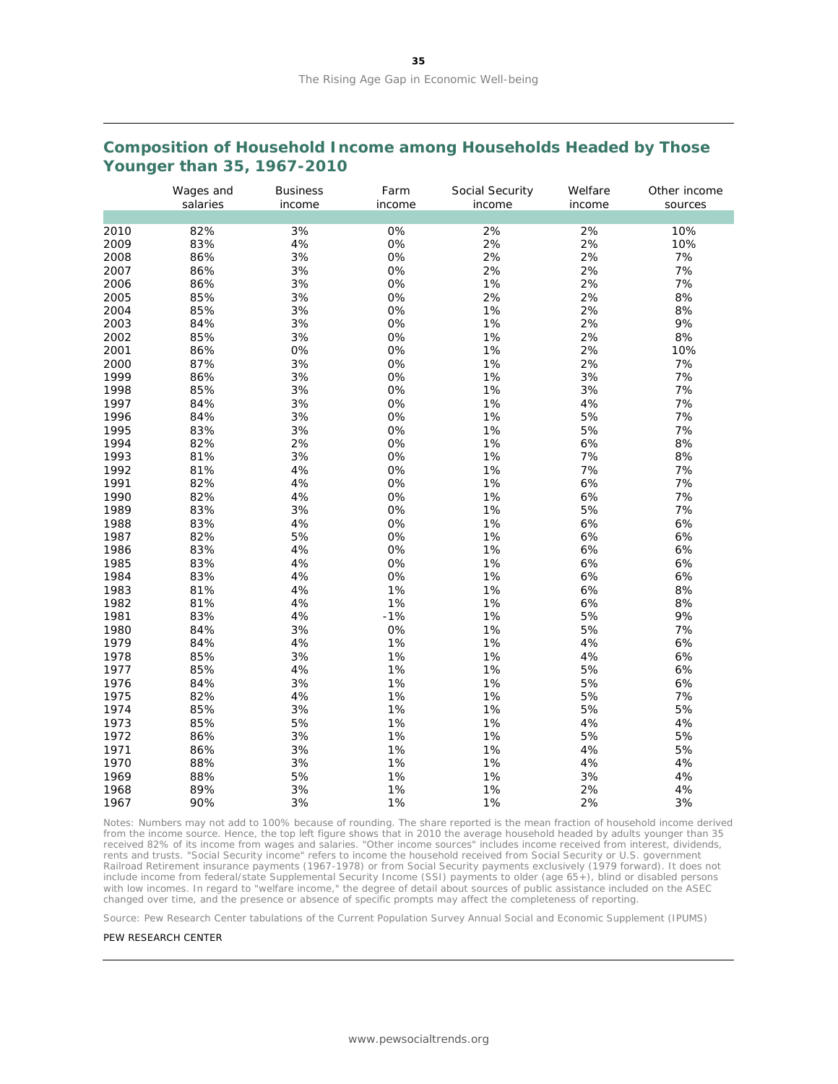### **Composition of Household Income among Households Headed by Those Younger than 35, 1967-2010**

|      | Wages and<br>salaries | <b>Business</b><br>income | Farm<br>income | Social Security<br>income | Welfare<br>income | Other income<br>sources |
|------|-----------------------|---------------------------|----------------|---------------------------|-------------------|-------------------------|
|      |                       |                           |                |                           |                   |                         |
| 2010 | 82%                   | 3%                        | 0%             | 2%                        | 2%                | 10%                     |
| 2009 | 83%                   | 4%                        | 0%             | 2%                        | 2%                | 10%                     |
| 2008 | 86%                   | 3%                        | 0%             | 2%                        | 2%                | 7%                      |
| 2007 | 86%                   | 3%                        | 0%             | 2%                        | 2%                | 7%                      |
| 2006 | 86%                   | 3%                        | 0%             | 1%                        | 2%                | 7%                      |
| 2005 | 85%                   | 3%                        | 0%             | 2%                        | 2%                | 8%                      |
| 2004 | 85%                   | 3%                        | 0%             | 1%                        | 2%                | 8%                      |
| 2003 | 84%                   | 3%                        | 0%             | 1%                        | 2%                | 9%                      |
| 2002 | 85%                   | 3%                        | 0%             | 1%                        | 2%                | 8%                      |
| 2001 | 86%                   | 0%                        | 0%             | 1%                        | 2%                | 10%                     |
| 2000 | 87%                   | 3%                        | 0%             | 1%                        | 2%                | 7%                      |
| 1999 | 86%                   | 3%                        | 0%             | 1%                        | 3%                | 7%                      |
| 1998 | 85%                   | 3%                        | 0%             | 1%                        | 3%                | 7%                      |
| 1997 | 84%                   | 3%                        | 0%             | 1%                        | 4%                | 7%                      |
| 1996 | 84%                   | 3%                        | 0%             | 1%                        | 5%                | 7%                      |
| 1995 | 83%                   | 3%                        | 0%             | 1%                        | 5%                | 7%                      |
| 1994 | 82%                   | 2%                        | 0%             | 1%                        | 6%                | 8%                      |
| 1993 | 81%                   | 3%                        | 0%             | 1%                        | 7%                | 8%                      |
| 1992 | 81%                   | 4%                        | 0%             | 1%                        | 7%                | 7%                      |
| 1991 | 82%                   | 4%                        | 0%             | 1%                        | 6%                | 7%                      |
| 1990 | 82%                   | 4%                        | 0%             | 1%                        | 6%                | 7%                      |
| 1989 | 83%                   | 3%                        | 0%             | 1%                        | 5%                | 7%                      |
| 1988 | 83%                   | 4%                        | 0%             | 1%                        | 6%                | 6%                      |
| 1987 | 82%                   | 5%                        | 0%             | 1%                        | 6%                | 6%                      |
| 1986 | 83%                   | 4%                        | 0%             | 1%                        | 6%                | 6%                      |
| 1985 | 83%                   | $4%$                      | 0%             | 1%                        | 6%                | 6%                      |
| 1984 | 83%                   | 4%                        | 0%             | 1%                        | 6%                | 6%                      |
| 1983 | 81%                   | $4%$                      | 1%             | 1%                        | 6%                | 8%                      |
| 1982 | 81%                   | 4%                        | 1%             | 1%                        | 6%                | 8%                      |
| 1981 | 83%                   | 4%                        | $-1%$          | 1%                        | 5%                | 9%                      |
| 1980 | 84%                   | 3%                        | 0%             | 1%                        | 5%                | 7%                      |
| 1979 | 84%                   | 4%                        | 1%             | 1%                        | 4%                | 6%                      |
| 1978 | 85%                   | 3%                        | 1%             | 1%                        | 4%                | 6%                      |
| 1977 | 85%                   | 4%                        | 1%             | 1%                        | 5%                | 6%                      |
| 1976 | 84%                   | 3%                        | 1%             | 1%                        | 5%                | 6%                      |
| 1975 | 82%                   | 4%                        | 1%             | 1%                        | 5%                | 7%                      |
| 1974 | 85%                   | 3%                        | 1%             | 1%                        | 5%                | 5%                      |
| 1973 | 85%                   | 5%                        | 1%             | 1%                        | 4%                | 4%                      |
| 1972 | 86%                   | 3%                        | 1%             | 1%                        | 5%                | 5%                      |
| 1971 | 86%                   | 3%                        | 1%             | 1%                        | 4%                | 5%                      |
| 1970 | 88%                   | 3%                        | 1%             | 1%                        | 4%                | 4%                      |
| 1969 | 88%                   | 5%                        | 1%             | 1%                        | 3%                | 4%                      |
| 1968 | 89%                   | 3%                        | 1%             | 1%                        | 2%                | 4%                      |
| 1967 | 90%                   | 3%                        | 1%             | 1%                        | 2%                | 3%                      |

Notes: Numbers may not add to 100% because of rounding. The share reported is the mean fraction of household income derived from the income source. Hence, the top left figure shows that in 2010 the average household headed by adults younger than 35 received 82% of its income from wages and salaries. "Other income sources" includes income received from interest, dividends, rents and trusts. "Social Security income" refers to income the household received from Social Security or U.S. government<br>Railroad Retirement insurance payments (1967-1978) or from Social Security payments exclusively (19 include income from federal/state Supplemental Security Income (SSI) payments to older (age 65+), blind or disabled persons with low incomes. In regard to "welfare income," the degree of detail about sources of public assistance included on the ASEC changed over time, and the presence or absence of specific prompts may affect the completeness of reporting.

Source: Pew Research Center tabulations of the Current Population Survey Annual Social and Economic Supplement (IPUMS)